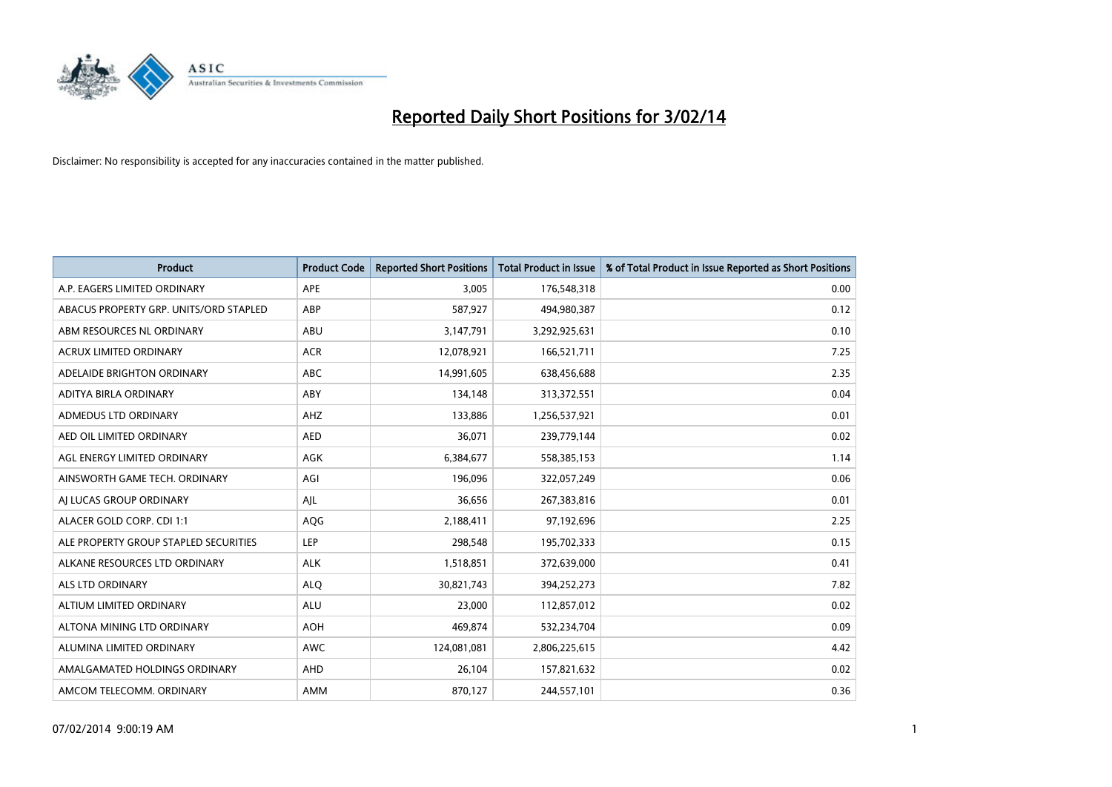

| <b>Product</b>                         | <b>Product Code</b> | <b>Reported Short Positions</b> | <b>Total Product in Issue</b> | % of Total Product in Issue Reported as Short Positions |
|----------------------------------------|---------------------|---------------------------------|-------------------------------|---------------------------------------------------------|
| A.P. EAGERS LIMITED ORDINARY           | APE                 | 3,005                           | 176,548,318                   | 0.00                                                    |
| ABACUS PROPERTY GRP. UNITS/ORD STAPLED | ABP                 | 587,927                         | 494,980,387                   | 0.12                                                    |
| ABM RESOURCES NL ORDINARY              | ABU                 | 3,147,791                       | 3,292,925,631                 | 0.10                                                    |
| ACRUX LIMITED ORDINARY                 | <b>ACR</b>          | 12,078,921                      | 166,521,711                   | 7.25                                                    |
| ADELAIDE BRIGHTON ORDINARY             | <b>ABC</b>          | 14,991,605                      | 638,456,688                   | 2.35                                                    |
| ADITYA BIRLA ORDINARY                  | ABY                 | 134,148                         | 313,372,551                   | 0.04                                                    |
| ADMEDUS LTD ORDINARY                   | AHZ                 | 133,886                         | 1,256,537,921                 | 0.01                                                    |
| AED OIL LIMITED ORDINARY               | <b>AED</b>          | 36,071                          | 239,779,144                   | 0.02                                                    |
| AGL ENERGY LIMITED ORDINARY            | <b>AGK</b>          | 6,384,677                       | 558,385,153                   | 1.14                                                    |
| AINSWORTH GAME TECH. ORDINARY          | AGI                 | 196,096                         | 322,057,249                   | 0.06                                                    |
| AI LUCAS GROUP ORDINARY                | AJL                 | 36,656                          | 267,383,816                   | 0.01                                                    |
| ALACER GOLD CORP. CDI 1:1              | AQG                 | 2,188,411                       | 97,192,696                    | 2.25                                                    |
| ALE PROPERTY GROUP STAPLED SECURITIES  | <b>LEP</b>          | 298,548                         | 195,702,333                   | 0.15                                                    |
| ALKANE RESOURCES LTD ORDINARY          | <b>ALK</b>          | 1,518,851                       | 372,639,000                   | 0.41                                                    |
| ALS LTD ORDINARY                       | <b>ALQ</b>          | 30,821,743                      | 394,252,273                   | 7.82                                                    |
| ALTIUM LIMITED ORDINARY                | <b>ALU</b>          | 23,000                          | 112,857,012                   | 0.02                                                    |
| ALTONA MINING LTD ORDINARY             | <b>AOH</b>          | 469,874                         | 532,234,704                   | 0.09                                                    |
| ALUMINA LIMITED ORDINARY               | <b>AWC</b>          | 124,081,081                     | 2,806,225,615                 | 4.42                                                    |
| AMALGAMATED HOLDINGS ORDINARY          | AHD                 | 26,104                          | 157,821,632                   | 0.02                                                    |
| AMCOM TELECOMM. ORDINARY               | AMM                 | 870,127                         | 244,557,101                   | 0.36                                                    |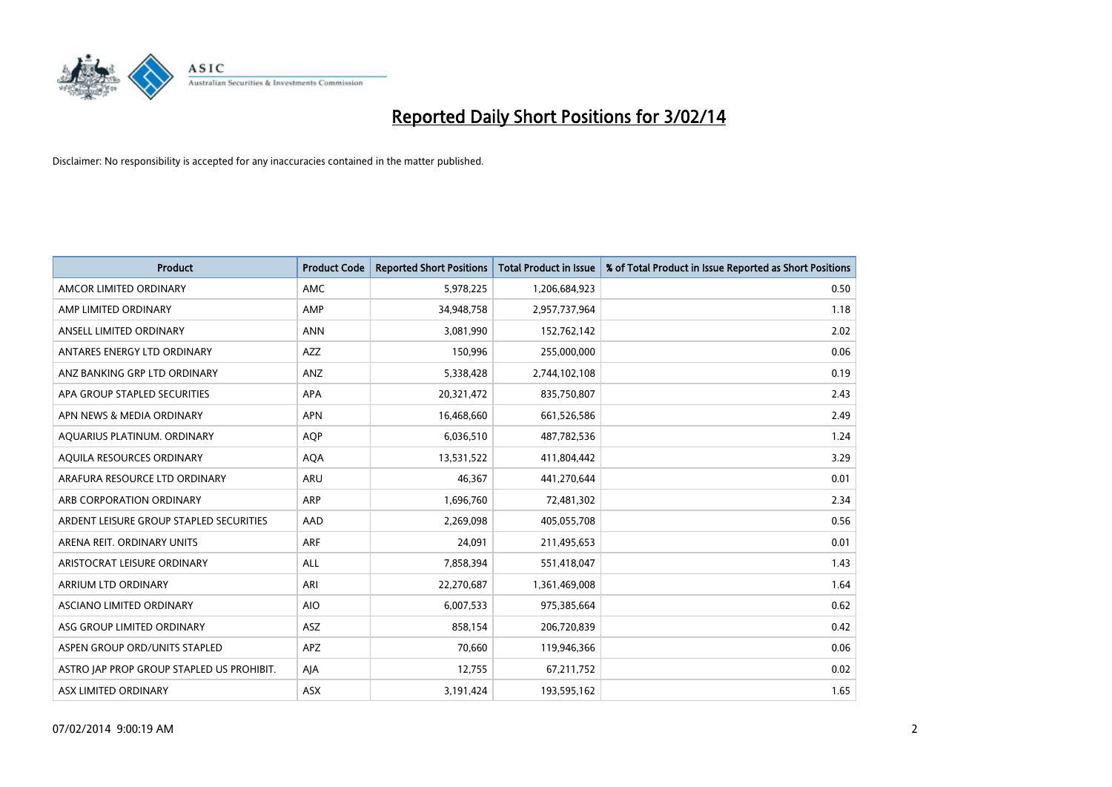

| <b>Product</b>                            | <b>Product Code</b> | <b>Reported Short Positions</b> | <b>Total Product in Issue</b> | % of Total Product in Issue Reported as Short Positions |
|-------------------------------------------|---------------------|---------------------------------|-------------------------------|---------------------------------------------------------|
| AMCOR LIMITED ORDINARY                    | <b>AMC</b>          | 5,978,225                       | 1,206,684,923                 | 0.50                                                    |
| AMP LIMITED ORDINARY                      | AMP                 | 34,948,758                      | 2,957,737,964                 | 1.18                                                    |
| ANSELL LIMITED ORDINARY                   | <b>ANN</b>          | 3,081,990                       | 152,762,142                   | 2.02                                                    |
| ANTARES ENERGY LTD ORDINARY               | <b>AZZ</b>          | 150,996                         | 255,000,000                   | 0.06                                                    |
| ANZ BANKING GRP LTD ORDINARY              | ANZ                 | 5,338,428                       | 2,744,102,108                 | 0.19                                                    |
| APA GROUP STAPLED SECURITIES              | <b>APA</b>          | 20,321,472                      | 835,750,807                   | 2.43                                                    |
| APN NEWS & MEDIA ORDINARY                 | <b>APN</b>          | 16,468,660                      | 661,526,586                   | 2.49                                                    |
| AQUARIUS PLATINUM. ORDINARY               | <b>AOP</b>          | 6,036,510                       | 487,782,536                   | 1.24                                                    |
| AQUILA RESOURCES ORDINARY                 | <b>AQA</b>          | 13,531,522                      | 411,804,442                   | 3.29                                                    |
| ARAFURA RESOURCE LTD ORDINARY             | ARU                 | 46,367                          | 441,270,644                   | 0.01                                                    |
| ARB CORPORATION ORDINARY                  | ARP                 | 1,696,760                       | 72,481,302                    | 2.34                                                    |
| ARDENT LEISURE GROUP STAPLED SECURITIES   | AAD                 | 2,269,098                       | 405,055,708                   | 0.56                                                    |
| ARENA REIT. ORDINARY UNITS                | ARF                 | 24,091                          | 211,495,653                   | 0.01                                                    |
| ARISTOCRAT LEISURE ORDINARY               | ALL                 | 7,858,394                       | 551,418,047                   | 1.43                                                    |
| ARRIUM LTD ORDINARY                       | ARI                 | 22,270,687                      | 1,361,469,008                 | 1.64                                                    |
| ASCIANO LIMITED ORDINARY                  | <b>AIO</b>          | 6,007,533                       | 975,385,664                   | 0.62                                                    |
| ASG GROUP LIMITED ORDINARY                | ASZ                 | 858,154                         | 206,720,839                   | 0.42                                                    |
| ASPEN GROUP ORD/UNITS STAPLED             | <b>APZ</b>          | 70,660                          | 119,946,366                   | 0.06                                                    |
| ASTRO JAP PROP GROUP STAPLED US PROHIBIT. | AJA                 | 12,755                          | 67,211,752                    | 0.02                                                    |
| ASX LIMITED ORDINARY                      | ASX                 | 3,191,424                       | 193,595,162                   | 1.65                                                    |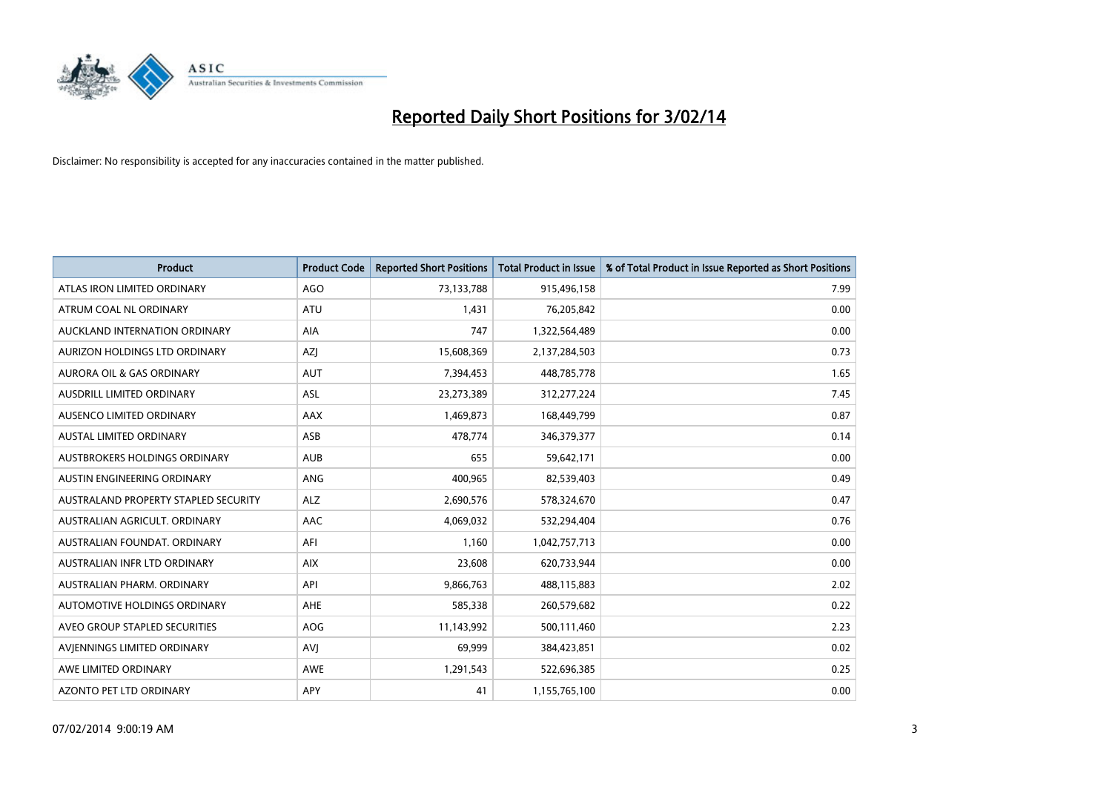

| <b>Product</b>                       | <b>Product Code</b> | <b>Reported Short Positions</b> | <b>Total Product in Issue</b> | % of Total Product in Issue Reported as Short Positions |
|--------------------------------------|---------------------|---------------------------------|-------------------------------|---------------------------------------------------------|
| ATLAS IRON LIMITED ORDINARY          | <b>AGO</b>          | 73,133,788                      | 915,496,158                   | 7.99                                                    |
| ATRUM COAL NL ORDINARY               | <b>ATU</b>          | 1,431                           | 76,205,842                    | 0.00                                                    |
| AUCKLAND INTERNATION ORDINARY        | AIA                 | 747                             | 1,322,564,489                 | 0.00                                                    |
| AURIZON HOLDINGS LTD ORDINARY        | AZJ                 | 15,608,369                      | 2,137,284,503                 | 0.73                                                    |
| <b>AURORA OIL &amp; GAS ORDINARY</b> | <b>AUT</b>          | 7,394,453                       | 448,785,778                   | 1.65                                                    |
| AUSDRILL LIMITED ORDINARY            | ASL                 | 23,273,389                      | 312,277,224                   | 7.45                                                    |
| AUSENCO LIMITED ORDINARY             | AAX                 | 1,469,873                       | 168,449,799                   | 0.87                                                    |
| AUSTAL LIMITED ORDINARY              | ASB                 | 478,774                         | 346,379,377                   | 0.14                                                    |
| AUSTBROKERS HOLDINGS ORDINARY        | <b>AUB</b>          | 655                             | 59,642,171                    | 0.00                                                    |
| AUSTIN ENGINEERING ORDINARY          | ANG                 | 400,965                         | 82,539,403                    | 0.49                                                    |
| AUSTRALAND PROPERTY STAPLED SECURITY | <b>ALZ</b>          | 2,690,576                       | 578,324,670                   | 0.47                                                    |
| AUSTRALIAN AGRICULT, ORDINARY        | AAC                 | 4,069,032                       | 532,294,404                   | 0.76                                                    |
| AUSTRALIAN FOUNDAT, ORDINARY         | AFI                 | 1,160                           | 1,042,757,713                 | 0.00                                                    |
| AUSTRALIAN INFR LTD ORDINARY         | <b>AIX</b>          | 23,608                          | 620,733,944                   | 0.00                                                    |
| AUSTRALIAN PHARM, ORDINARY           | API                 | 9,866,763                       | 488,115,883                   | 2.02                                                    |
| AUTOMOTIVE HOLDINGS ORDINARY         | AHE                 | 585,338                         | 260,579,682                   | 0.22                                                    |
| AVEO GROUP STAPLED SECURITIES        | AOG                 | 11,143,992                      | 500,111,460                   | 2.23                                                    |
| AVIENNINGS LIMITED ORDINARY          | <b>AVJ</b>          | 69,999                          | 384,423,851                   | 0.02                                                    |
| AWE LIMITED ORDINARY                 | AWE                 | 1,291,543                       | 522,696,385                   | 0.25                                                    |
| AZONTO PET LTD ORDINARY              | APY                 | 41                              | 1,155,765,100                 | 0.00                                                    |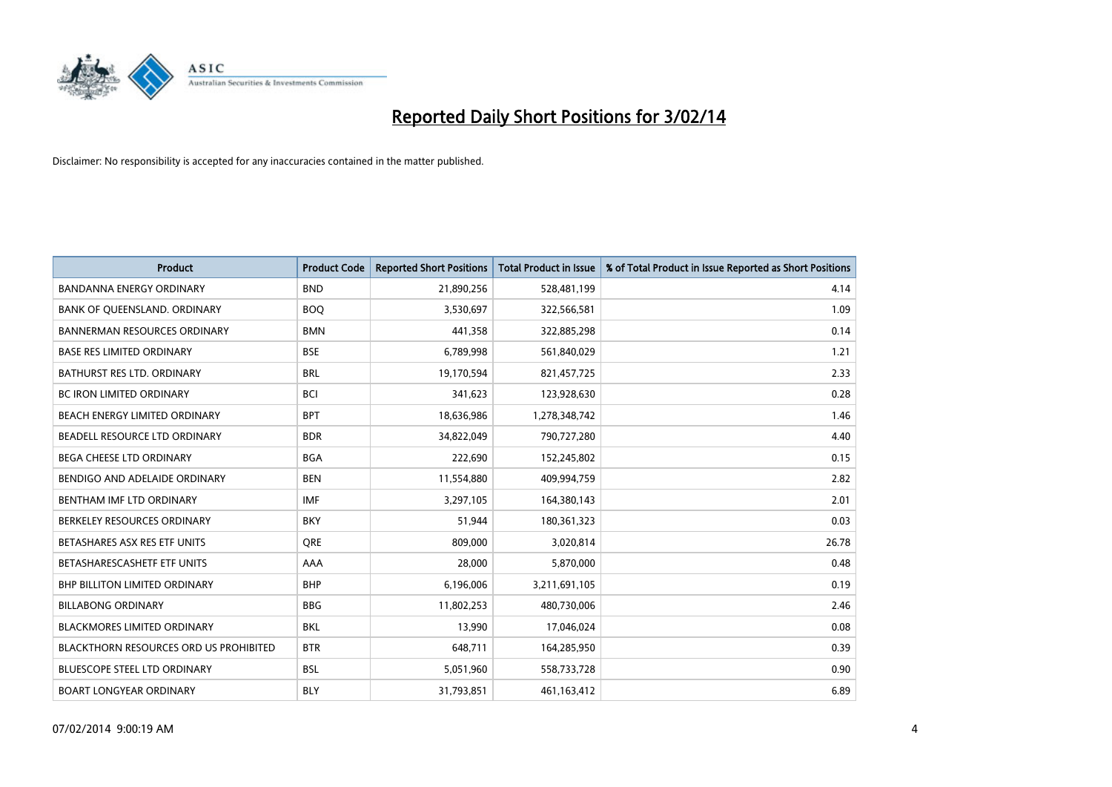

| <b>Product</b>                         | <b>Product Code</b> | <b>Reported Short Positions</b> | <b>Total Product in Issue</b> | % of Total Product in Issue Reported as Short Positions |
|----------------------------------------|---------------------|---------------------------------|-------------------------------|---------------------------------------------------------|
| <b>BANDANNA ENERGY ORDINARY</b>        | <b>BND</b>          | 21,890,256                      | 528,481,199                   | 4.14                                                    |
| BANK OF QUEENSLAND. ORDINARY           | <b>BOQ</b>          | 3,530,697                       | 322,566,581                   | 1.09                                                    |
| <b>BANNERMAN RESOURCES ORDINARY</b>    | <b>BMN</b>          | 441,358                         | 322,885,298                   | 0.14                                                    |
| <b>BASE RES LIMITED ORDINARY</b>       | <b>BSE</b>          | 6,789,998                       | 561,840,029                   | 1.21                                                    |
| BATHURST RES LTD. ORDINARY             | <b>BRL</b>          | 19,170,594                      | 821,457,725                   | 2.33                                                    |
| <b>BC IRON LIMITED ORDINARY</b>        | <b>BCI</b>          | 341,623                         | 123,928,630                   | 0.28                                                    |
| BEACH ENERGY LIMITED ORDINARY          | <b>BPT</b>          | 18,636,986                      | 1,278,348,742                 | 1.46                                                    |
| BEADELL RESOURCE LTD ORDINARY          | <b>BDR</b>          | 34,822,049                      | 790,727,280                   | 4.40                                                    |
| <b>BEGA CHEESE LTD ORDINARY</b>        | <b>BGA</b>          | 222,690                         | 152,245,802                   | 0.15                                                    |
| BENDIGO AND ADELAIDE ORDINARY          | <b>BEN</b>          | 11,554,880                      | 409,994,759                   | 2.82                                                    |
| BENTHAM IMF LTD ORDINARY               | <b>IMF</b>          | 3,297,105                       | 164,380,143                   | 2.01                                                    |
| BERKELEY RESOURCES ORDINARY            | <b>BKY</b>          | 51,944                          | 180,361,323                   | 0.03                                                    |
| BETASHARES ASX RES ETF UNITS           | <b>ORE</b>          | 809.000                         | 3,020,814                     | 26.78                                                   |
| BETASHARESCASHETF ETF UNITS            | AAA                 | 28.000                          | 5,870,000                     | 0.48                                                    |
| <b>BHP BILLITON LIMITED ORDINARY</b>   | <b>BHP</b>          | 6,196,006                       | 3,211,691,105                 | 0.19                                                    |
| <b>BILLABONG ORDINARY</b>              | <b>BBG</b>          | 11,802,253                      | 480,730,006                   | 2.46                                                    |
| <b>BLACKMORES LIMITED ORDINARY</b>     | <b>BKL</b>          | 13,990                          | 17,046,024                    | 0.08                                                    |
| BLACKTHORN RESOURCES ORD US PROHIBITED | <b>BTR</b>          | 648,711                         | 164,285,950                   | 0.39                                                    |
| <b>BLUESCOPE STEEL LTD ORDINARY</b>    | <b>BSL</b>          | 5,051,960                       | 558,733,728                   | 0.90                                                    |
| <b>BOART LONGYEAR ORDINARY</b>         | <b>BLY</b>          | 31,793,851                      | 461,163,412                   | 6.89                                                    |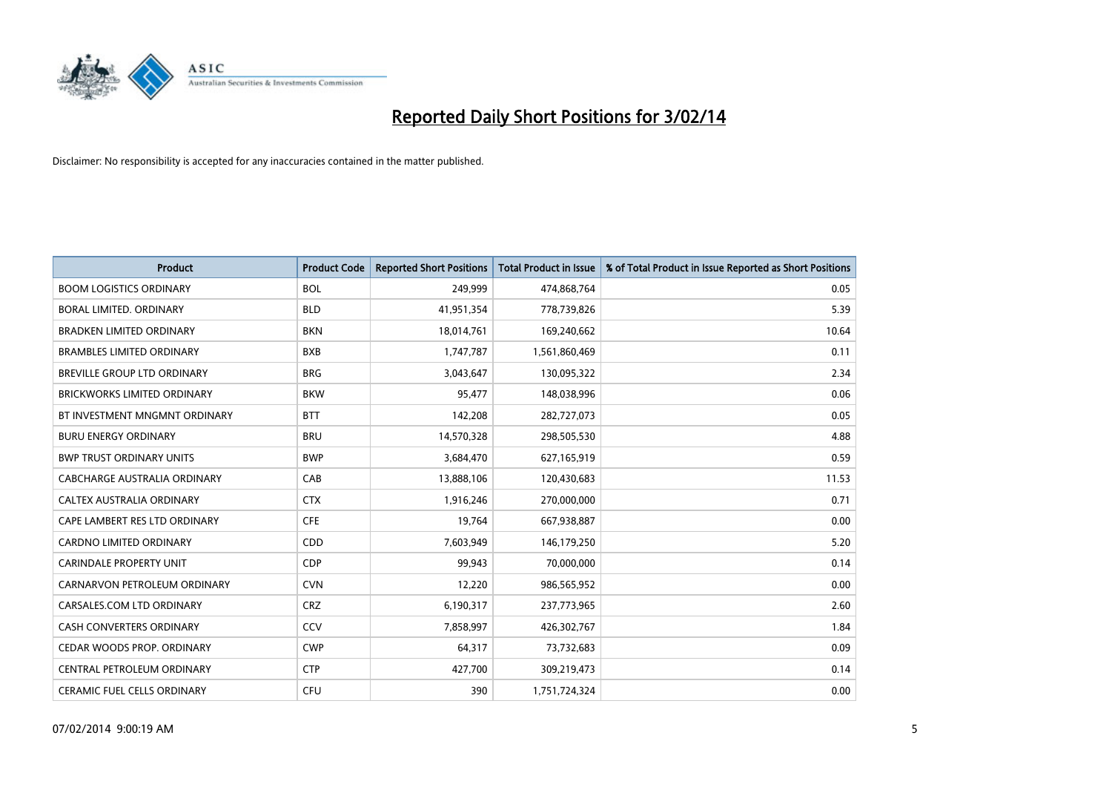

| <b>Product</b>                     | <b>Product Code</b> | <b>Reported Short Positions</b> | <b>Total Product in Issue</b> | % of Total Product in Issue Reported as Short Positions |
|------------------------------------|---------------------|---------------------------------|-------------------------------|---------------------------------------------------------|
| <b>BOOM LOGISTICS ORDINARY</b>     | <b>BOL</b>          | 249,999                         | 474,868,764                   | 0.05                                                    |
| BORAL LIMITED. ORDINARY            | <b>BLD</b>          | 41,951,354                      | 778,739,826                   | 5.39                                                    |
| <b>BRADKEN LIMITED ORDINARY</b>    | <b>BKN</b>          | 18,014,761                      | 169,240,662                   | 10.64                                                   |
| <b>BRAMBLES LIMITED ORDINARY</b>   | <b>BXB</b>          | 1,747,787                       | 1,561,860,469                 | 0.11                                                    |
| <b>BREVILLE GROUP LTD ORDINARY</b> | <b>BRG</b>          | 3,043,647                       | 130,095,322                   | 2.34                                                    |
| <b>BRICKWORKS LIMITED ORDINARY</b> | <b>BKW</b>          | 95,477                          | 148,038,996                   | 0.06                                                    |
| BT INVESTMENT MNGMNT ORDINARY      | <b>BTT</b>          | 142,208                         | 282,727,073                   | 0.05                                                    |
| <b>BURU ENERGY ORDINARY</b>        | <b>BRU</b>          | 14,570,328                      | 298,505,530                   | 4.88                                                    |
| <b>BWP TRUST ORDINARY UNITS</b>    | <b>BWP</b>          | 3,684,470                       | 627,165,919                   | 0.59                                                    |
| CABCHARGE AUSTRALIA ORDINARY       | CAB                 | 13,888,106                      | 120,430,683                   | 11.53                                                   |
| CALTEX AUSTRALIA ORDINARY          | <b>CTX</b>          | 1,916,246                       | 270,000,000                   | 0.71                                                    |
| CAPE LAMBERT RES LTD ORDINARY      | <b>CFE</b>          | 19,764                          | 667,938,887                   | 0.00                                                    |
| CARDNO LIMITED ORDINARY            | CDD                 | 7,603,949                       | 146,179,250                   | 5.20                                                    |
| <b>CARINDALE PROPERTY UNIT</b>     | <b>CDP</b>          | 99,943                          | 70,000,000                    | 0.14                                                    |
| CARNARVON PETROLEUM ORDINARY       | <b>CVN</b>          | 12,220                          | 986,565,952                   | 0.00                                                    |
| CARSALES.COM LTD ORDINARY          | <b>CRZ</b>          | 6,190,317                       | 237,773,965                   | 2.60                                                    |
| CASH CONVERTERS ORDINARY           | <b>CCV</b>          | 7,858,997                       | 426,302,767                   | 1.84                                                    |
| CEDAR WOODS PROP. ORDINARY         | <b>CWP</b>          | 64,317                          | 73,732,683                    | 0.09                                                    |
| CENTRAL PETROLEUM ORDINARY         | <b>CTP</b>          | 427,700                         | 309,219,473                   | 0.14                                                    |
| CERAMIC FUEL CELLS ORDINARY        | <b>CFU</b>          | 390                             | 1,751,724,324                 | 0.00                                                    |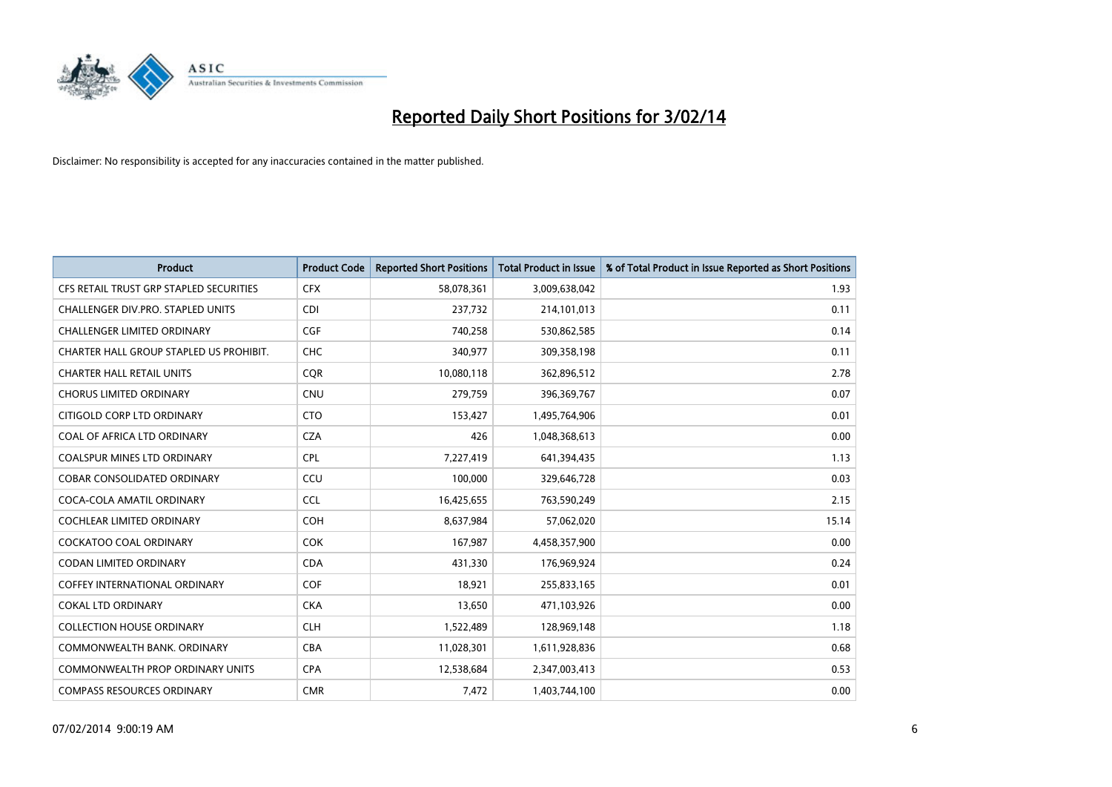

| <b>Product</b>                          | <b>Product Code</b> | <b>Reported Short Positions</b> | <b>Total Product in Issue</b> | % of Total Product in Issue Reported as Short Positions |
|-----------------------------------------|---------------------|---------------------------------|-------------------------------|---------------------------------------------------------|
| CFS RETAIL TRUST GRP STAPLED SECURITIES | <b>CFX</b>          | 58,078,361                      | 3,009,638,042                 | 1.93                                                    |
| CHALLENGER DIV.PRO. STAPLED UNITS       | <b>CDI</b>          | 237,732                         | 214,101,013                   | 0.11                                                    |
| <b>CHALLENGER LIMITED ORDINARY</b>      | <b>CGF</b>          | 740,258                         | 530,862,585                   | 0.14                                                    |
| CHARTER HALL GROUP STAPLED US PROHIBIT. | <b>CHC</b>          | 340,977                         | 309,358,198                   | 0.11                                                    |
| <b>CHARTER HALL RETAIL UNITS</b>        | <b>COR</b>          | 10,080,118                      | 362,896,512                   | 2.78                                                    |
| <b>CHORUS LIMITED ORDINARY</b>          | CNU                 | 279,759                         | 396,369,767                   | 0.07                                                    |
| CITIGOLD CORP LTD ORDINARY              | <b>CTO</b>          | 153,427                         | 1,495,764,906                 | 0.01                                                    |
| COAL OF AFRICA LTD ORDINARY             | <b>CZA</b>          | 426                             | 1,048,368,613                 | 0.00                                                    |
| <b>COALSPUR MINES LTD ORDINARY</b>      | <b>CPL</b>          | 7,227,419                       | 641,394,435                   | 1.13                                                    |
| <b>COBAR CONSOLIDATED ORDINARY</b>      | CCU                 | 100,000                         | 329,646,728                   | 0.03                                                    |
| COCA-COLA AMATIL ORDINARY               | <b>CCL</b>          | 16,425,655                      | 763,590,249                   | 2.15                                                    |
| <b>COCHLEAR LIMITED ORDINARY</b>        | <b>COH</b>          | 8,637,984                       | 57,062,020                    | 15.14                                                   |
| COCKATOO COAL ORDINARY                  | <b>COK</b>          | 167,987                         | 4,458,357,900                 | 0.00                                                    |
| <b>CODAN LIMITED ORDINARY</b>           | <b>CDA</b>          | 431,330                         | 176,969,924                   | 0.24                                                    |
| <b>COFFEY INTERNATIONAL ORDINARY</b>    | COF                 | 18,921                          | 255,833,165                   | 0.01                                                    |
| <b>COKAL LTD ORDINARY</b>               | <b>CKA</b>          | 13,650                          | 471,103,926                   | 0.00                                                    |
| <b>COLLECTION HOUSE ORDINARY</b>        | <b>CLH</b>          | 1,522,489                       | 128,969,148                   | 1.18                                                    |
| COMMONWEALTH BANK, ORDINARY             | <b>CBA</b>          | 11,028,301                      | 1,611,928,836                 | 0.68                                                    |
| <b>COMMONWEALTH PROP ORDINARY UNITS</b> | <b>CPA</b>          | 12,538,684                      | 2,347,003,413                 | 0.53                                                    |
| <b>COMPASS RESOURCES ORDINARY</b>       | <b>CMR</b>          | 7,472                           | 1,403,744,100                 | 0.00                                                    |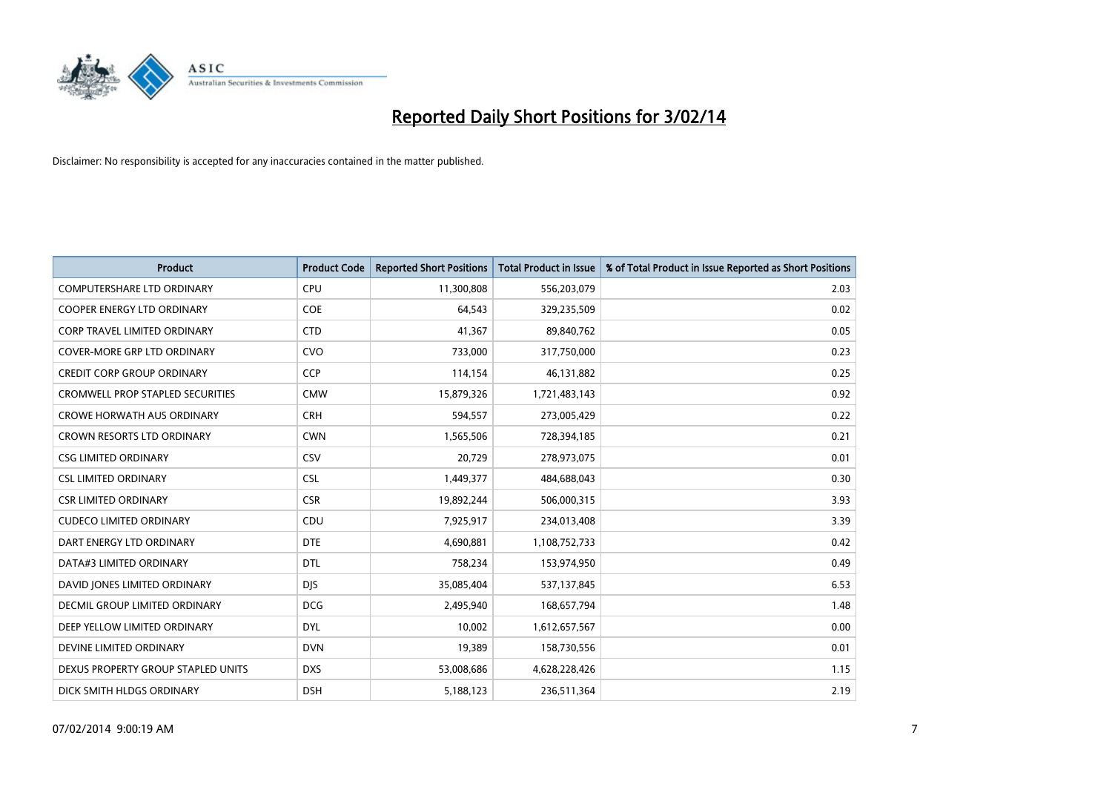

| <b>Product</b>                          | <b>Product Code</b> | <b>Reported Short Positions</b> | <b>Total Product in Issue</b> | % of Total Product in Issue Reported as Short Positions |
|-----------------------------------------|---------------------|---------------------------------|-------------------------------|---------------------------------------------------------|
| <b>COMPUTERSHARE LTD ORDINARY</b>       | <b>CPU</b>          | 11,300,808                      | 556,203,079                   | 2.03                                                    |
| <b>COOPER ENERGY LTD ORDINARY</b>       | <b>COE</b>          | 64,543                          | 329,235,509                   | 0.02                                                    |
| CORP TRAVEL LIMITED ORDINARY            | <b>CTD</b>          | 41,367                          | 89,840,762                    | 0.05                                                    |
| COVER-MORE GRP LTD ORDINARY             | <b>CVO</b>          | 733,000                         | 317,750,000                   | 0.23                                                    |
| <b>CREDIT CORP GROUP ORDINARY</b>       | <b>CCP</b>          | 114,154                         | 46,131,882                    | 0.25                                                    |
| <b>CROMWELL PROP STAPLED SECURITIES</b> | <b>CMW</b>          | 15,879,326                      | 1,721,483,143                 | 0.92                                                    |
| <b>CROWE HORWATH AUS ORDINARY</b>       | <b>CRH</b>          | 594,557                         | 273,005,429                   | 0.22                                                    |
| CROWN RESORTS LTD ORDINARY              | <b>CWN</b>          | 1,565,506                       | 728,394,185                   | 0.21                                                    |
| <b>CSG LIMITED ORDINARY</b>             | CSV                 | 20,729                          | 278,973,075                   | 0.01                                                    |
| <b>CSL LIMITED ORDINARY</b>             | <b>CSL</b>          | 1,449,377                       | 484,688,043                   | 0.30                                                    |
| <b>CSR LIMITED ORDINARY</b>             | <b>CSR</b>          | 19,892,244                      | 506,000,315                   | 3.93                                                    |
| <b>CUDECO LIMITED ORDINARY</b>          | <b>CDU</b>          | 7,925,917                       | 234,013,408                   | 3.39                                                    |
| DART ENERGY LTD ORDINARY                | <b>DTE</b>          | 4,690,881                       | 1,108,752,733                 | 0.42                                                    |
| DATA#3 LIMITED ORDINARY                 | <b>DTL</b>          | 758,234                         | 153,974,950                   | 0.49                                                    |
| DAVID JONES LIMITED ORDINARY            | <b>DJS</b>          | 35,085,404                      | 537,137,845                   | 6.53                                                    |
| DECMIL GROUP LIMITED ORDINARY           | <b>DCG</b>          | 2,495,940                       | 168,657,794                   | 1.48                                                    |
| DEEP YELLOW LIMITED ORDINARY            | <b>DYL</b>          | 10,002                          | 1,612,657,567                 | 0.00                                                    |
| DEVINE LIMITED ORDINARY                 | <b>DVN</b>          | 19,389                          | 158,730,556                   | 0.01                                                    |
| DEXUS PROPERTY GROUP STAPLED UNITS      | <b>DXS</b>          | 53,008,686                      | 4,628,228,426                 | 1.15                                                    |
| DICK SMITH HLDGS ORDINARY               | <b>DSH</b>          | 5,188,123                       | 236,511,364                   | 2.19                                                    |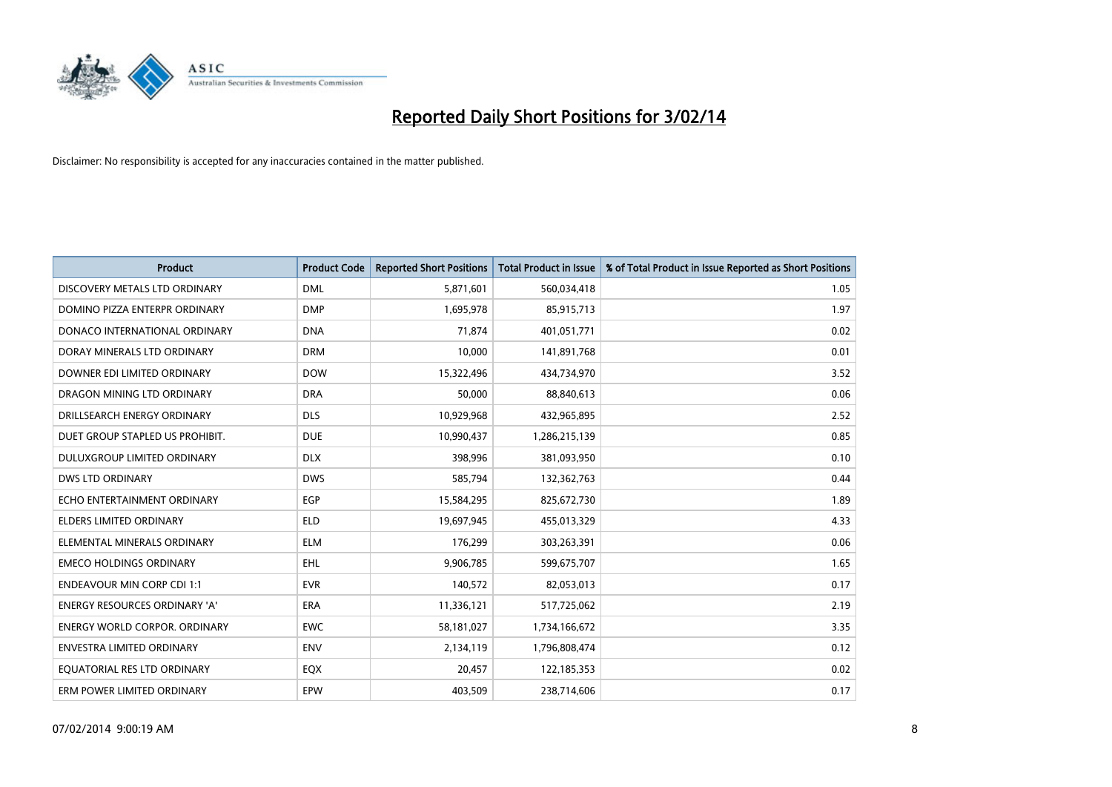

| <b>Product</b>                    | <b>Product Code</b> | <b>Reported Short Positions</b> | <b>Total Product in Issue</b> | % of Total Product in Issue Reported as Short Positions |
|-----------------------------------|---------------------|---------------------------------|-------------------------------|---------------------------------------------------------|
| DISCOVERY METALS LTD ORDINARY     | <b>DML</b>          | 5,871,601                       | 560,034,418                   | 1.05                                                    |
| DOMINO PIZZA ENTERPR ORDINARY     | <b>DMP</b>          | 1,695,978                       | 85,915,713                    | 1.97                                                    |
| DONACO INTERNATIONAL ORDINARY     | <b>DNA</b>          | 71,874                          | 401,051,771                   | 0.02                                                    |
| DORAY MINERALS LTD ORDINARY       | <b>DRM</b>          | 10,000                          | 141,891,768                   | 0.01                                                    |
| DOWNER EDI LIMITED ORDINARY       | <b>DOW</b>          | 15,322,496                      | 434,734,970                   | 3.52                                                    |
| DRAGON MINING LTD ORDINARY        | <b>DRA</b>          | 50,000                          | 88,840,613                    | 0.06                                                    |
| DRILLSEARCH ENERGY ORDINARY       | <b>DLS</b>          | 10,929,968                      | 432,965,895                   | 2.52                                                    |
| DUET GROUP STAPLED US PROHIBIT.   | <b>DUE</b>          | 10,990,437                      | 1,286,215,139                 | 0.85                                                    |
| DULUXGROUP LIMITED ORDINARY       | <b>DLX</b>          | 398,996                         | 381,093,950                   | 0.10                                                    |
| <b>DWS LTD ORDINARY</b>           | <b>DWS</b>          | 585,794                         | 132,362,763                   | 0.44                                                    |
| ECHO ENTERTAINMENT ORDINARY       | <b>EGP</b>          | 15,584,295                      | 825,672,730                   | 1.89                                                    |
| ELDERS LIMITED ORDINARY           | <b>ELD</b>          | 19,697,945                      | 455,013,329                   | 4.33                                                    |
| ELEMENTAL MINERALS ORDINARY       | <b>ELM</b>          | 176,299                         | 303,263,391                   | 0.06                                                    |
| <b>EMECO HOLDINGS ORDINARY</b>    | <b>EHL</b>          | 9,906,785                       | 599,675,707                   | 1.65                                                    |
| <b>ENDEAVOUR MIN CORP CDI 1:1</b> | <b>EVR</b>          | 140,572                         | 82,053,013                    | 0.17                                                    |
| ENERGY RESOURCES ORDINARY 'A'     | ERA                 | 11,336,121                      | 517,725,062                   | 2.19                                                    |
| ENERGY WORLD CORPOR. ORDINARY     | <b>EWC</b>          | 58,181,027                      | 1,734,166,672                 | 3.35                                                    |
| <b>ENVESTRA LIMITED ORDINARY</b>  | <b>ENV</b>          | 2,134,119                       | 1,796,808,474                 | 0.12                                                    |
| EQUATORIAL RES LTD ORDINARY       | EQX                 | 20,457                          | 122,185,353                   | 0.02                                                    |
| ERM POWER LIMITED ORDINARY        | <b>EPW</b>          | 403,509                         | 238,714,606                   | 0.17                                                    |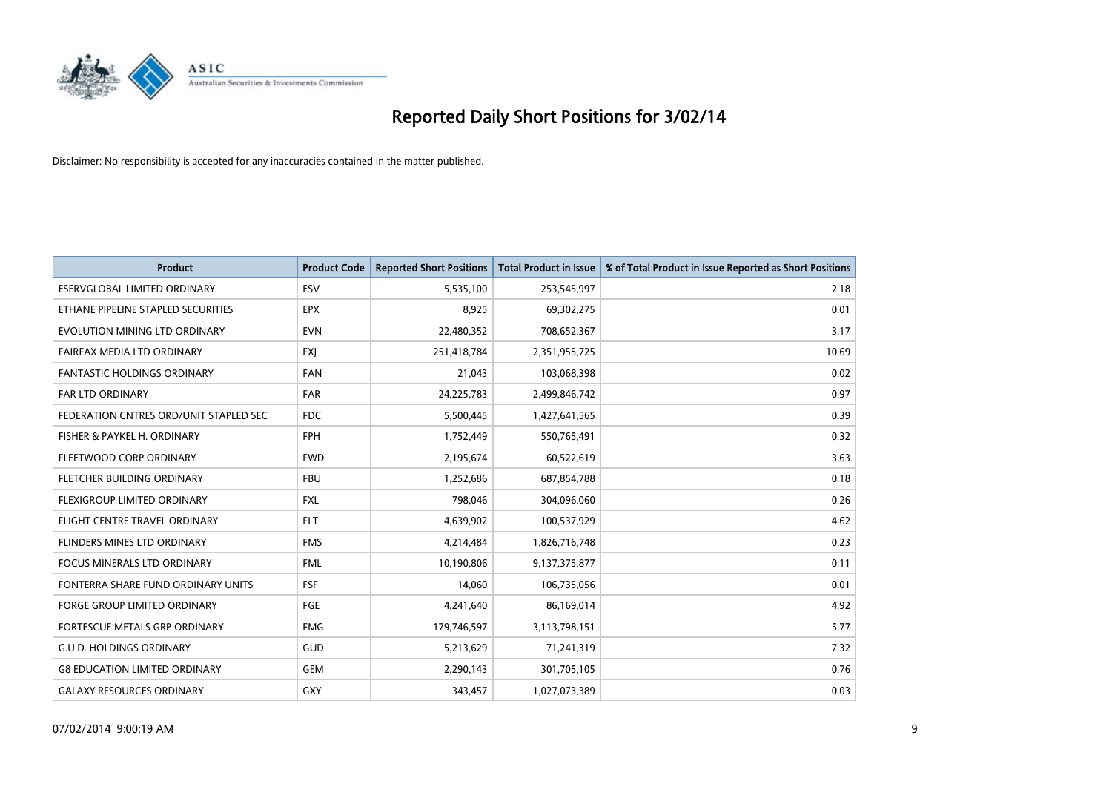

| <b>Product</b>                         | <b>Product Code</b> | <b>Reported Short Positions</b> | <b>Total Product in Issue</b> | % of Total Product in Issue Reported as Short Positions |
|----------------------------------------|---------------------|---------------------------------|-------------------------------|---------------------------------------------------------|
| ESERVGLOBAL LIMITED ORDINARY           | ESV                 | 5,535,100                       | 253,545,997                   | 2.18                                                    |
| ETHANE PIPELINE STAPLED SECURITIES     | <b>EPX</b>          | 8,925                           | 69,302,275                    | 0.01                                                    |
| EVOLUTION MINING LTD ORDINARY          | <b>EVN</b>          | 22,480,352                      | 708,652,367                   | 3.17                                                    |
| FAIRFAX MEDIA LTD ORDINARY             | <b>FXI</b>          | 251,418,784                     | 2,351,955,725                 | 10.69                                                   |
| <b>FANTASTIC HOLDINGS ORDINARY</b>     | <b>FAN</b>          | 21,043                          | 103,068,398                   | 0.02                                                    |
| FAR LTD ORDINARY                       | FAR                 | 24,225,783                      | 2,499,846,742                 | 0.97                                                    |
| FEDERATION CNTRES ORD/UNIT STAPLED SEC | <b>FDC</b>          | 5,500,445                       | 1,427,641,565                 | 0.39                                                    |
| FISHER & PAYKEL H. ORDINARY            | <b>FPH</b>          | 1,752,449                       | 550,765,491                   | 0.32                                                    |
| FLEETWOOD CORP ORDINARY                | <b>FWD</b>          | 2,195,674                       | 60,522,619                    | 3.63                                                    |
| FLETCHER BUILDING ORDINARY             | <b>FBU</b>          | 1,252,686                       | 687,854,788                   | 0.18                                                    |
| FLEXIGROUP LIMITED ORDINARY            | <b>FXL</b>          | 798,046                         | 304,096,060                   | 0.26                                                    |
| FLIGHT CENTRE TRAVEL ORDINARY          | <b>FLT</b>          | 4,639,902                       | 100,537,929                   | 4.62                                                    |
| FLINDERS MINES LTD ORDINARY            | <b>FMS</b>          | 4,214,484                       | 1,826,716,748                 | 0.23                                                    |
| <b>FOCUS MINERALS LTD ORDINARY</b>     | <b>FML</b>          | 10,190,806                      | 9,137,375,877                 | 0.11                                                    |
| FONTERRA SHARE FUND ORDINARY UNITS     | <b>FSF</b>          | 14,060                          | 106,735,056                   | 0.01                                                    |
| FORGE GROUP LIMITED ORDINARY           | FGE                 | 4,241,640                       | 86,169,014                    | 4.92                                                    |
| FORTESCUE METALS GRP ORDINARY          | <b>FMG</b>          | 179,746,597                     | 3,113,798,151                 | 5.77                                                    |
| <b>G.U.D. HOLDINGS ORDINARY</b>        | GUD                 | 5,213,629                       | 71,241,319                    | 7.32                                                    |
| <b>G8 EDUCATION LIMITED ORDINARY</b>   | <b>GEM</b>          | 2,290,143                       | 301,705,105                   | 0.76                                                    |
| <b>GALAXY RESOURCES ORDINARY</b>       | <b>GXY</b>          | 343,457                         | 1,027,073,389                 | 0.03                                                    |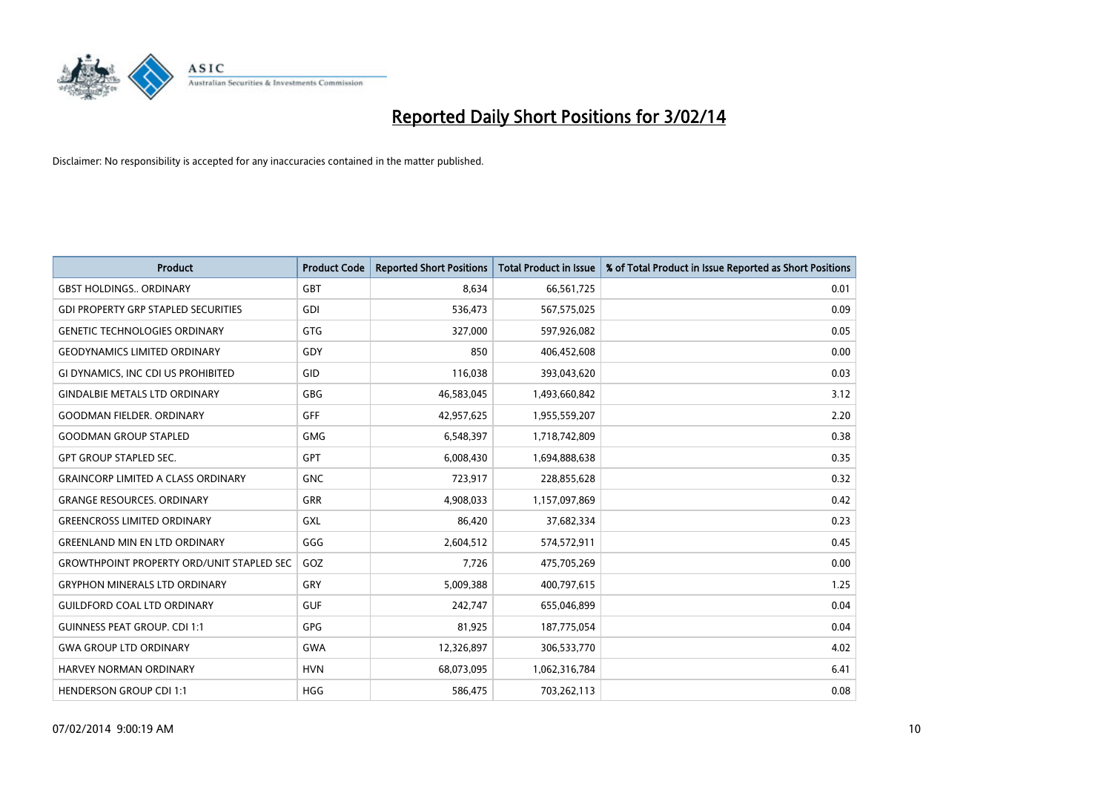

| <b>Product</b>                                   | <b>Product Code</b> | <b>Reported Short Positions</b> | <b>Total Product in Issue</b> | % of Total Product in Issue Reported as Short Positions |
|--------------------------------------------------|---------------------|---------------------------------|-------------------------------|---------------------------------------------------------|
| <b>GBST HOLDINGS., ORDINARY</b>                  | <b>GBT</b>          | 8.634                           | 66,561,725                    | 0.01                                                    |
| <b>GDI PROPERTY GRP STAPLED SECURITIES</b>       | GDI                 | 536,473                         | 567,575,025                   | 0.09                                                    |
| <b>GENETIC TECHNOLOGIES ORDINARY</b>             | <b>GTG</b>          | 327,000                         | 597,926,082                   | 0.05                                                    |
| <b>GEODYNAMICS LIMITED ORDINARY</b>              | GDY                 | 850                             | 406,452,608                   | 0.00                                                    |
| GI DYNAMICS, INC CDI US PROHIBITED               | GID                 | 116,038                         | 393,043,620                   | 0.03                                                    |
| <b>GINDALBIE METALS LTD ORDINARY</b>             | <b>GBG</b>          | 46,583,045                      | 1,493,660,842                 | 3.12                                                    |
| <b>GOODMAN FIELDER, ORDINARY</b>                 | <b>GFF</b>          | 42,957,625                      | 1,955,559,207                 | 2.20                                                    |
| <b>GOODMAN GROUP STAPLED</b>                     | <b>GMG</b>          | 6,548,397                       | 1,718,742,809                 | 0.38                                                    |
| <b>GPT GROUP STAPLED SEC.</b>                    | <b>GPT</b>          | 6,008,430                       | 1,694,888,638                 | 0.35                                                    |
| <b>GRAINCORP LIMITED A CLASS ORDINARY</b>        | <b>GNC</b>          | 723,917                         | 228,855,628                   | 0.32                                                    |
| <b>GRANGE RESOURCES. ORDINARY</b>                | GRR                 | 4,908,033                       | 1,157,097,869                 | 0.42                                                    |
| <b>GREENCROSS LIMITED ORDINARY</b>               | GXL                 | 86,420                          | 37,682,334                    | 0.23                                                    |
| <b>GREENLAND MIN EN LTD ORDINARY</b>             | GGG                 | 2,604,512                       | 574,572,911                   | 0.45                                                    |
| <b>GROWTHPOINT PROPERTY ORD/UNIT STAPLED SEC</b> | GOZ                 | 7,726                           | 475,705,269                   | 0.00                                                    |
| <b>GRYPHON MINERALS LTD ORDINARY</b>             | GRY                 | 5,009,388                       | 400,797,615                   | 1.25                                                    |
| <b>GUILDFORD COAL LTD ORDINARY</b>               | <b>GUF</b>          | 242,747                         | 655,046,899                   | 0.04                                                    |
| <b>GUINNESS PEAT GROUP. CDI 1:1</b>              | GPG                 | 81,925                          | 187,775,054                   | 0.04                                                    |
| <b>GWA GROUP LTD ORDINARY</b>                    | <b>GWA</b>          | 12,326,897                      | 306,533,770                   | 4.02                                                    |
| HARVEY NORMAN ORDINARY                           | <b>HVN</b>          | 68,073,095                      | 1,062,316,784                 | 6.41                                                    |
| <b>HENDERSON GROUP CDI 1:1</b>                   | <b>HGG</b>          | 586,475                         | 703,262,113                   | 0.08                                                    |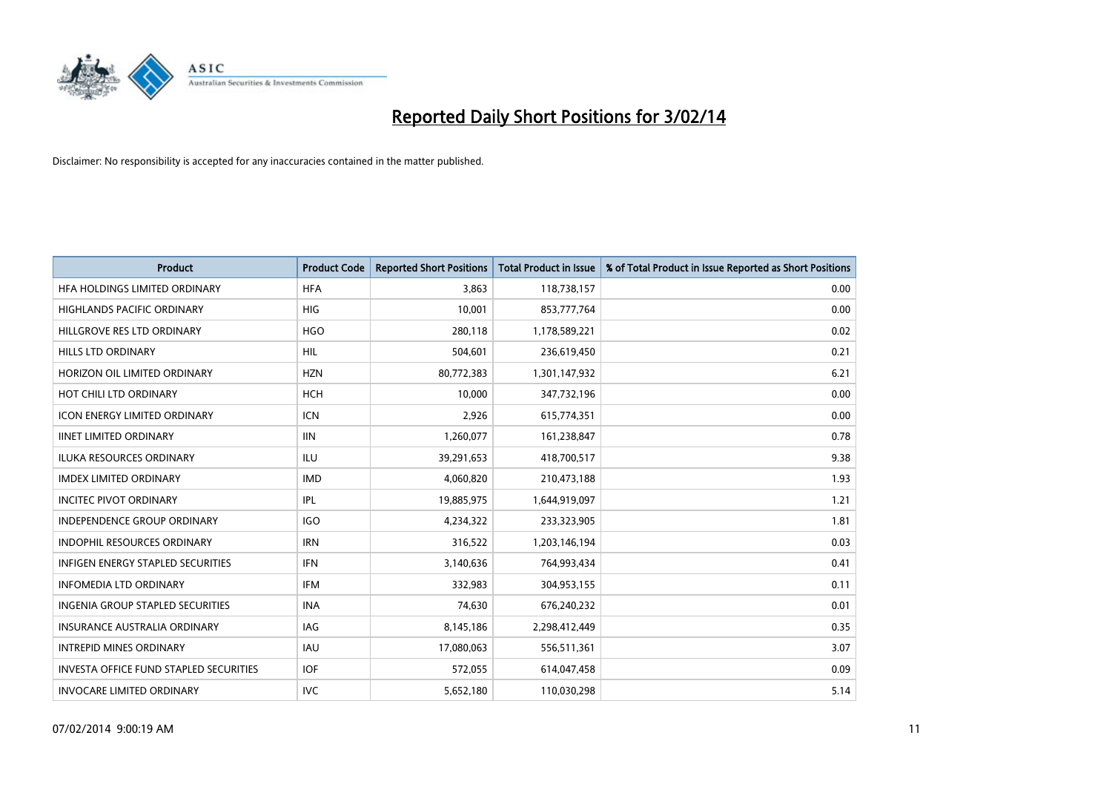

| <b>Product</b>                                | <b>Product Code</b> | <b>Reported Short Positions</b> | <b>Total Product in Issue</b> | % of Total Product in Issue Reported as Short Positions |
|-----------------------------------------------|---------------------|---------------------------------|-------------------------------|---------------------------------------------------------|
| HFA HOLDINGS LIMITED ORDINARY                 | <b>HFA</b>          | 3,863                           | 118,738,157                   | 0.00                                                    |
| HIGHLANDS PACIFIC ORDINARY                    | HIG                 | 10,001                          | 853,777,764                   | 0.00                                                    |
| HILLGROVE RES LTD ORDINARY                    | <b>HGO</b>          | 280,118                         | 1,178,589,221                 | 0.02                                                    |
| HILLS LTD ORDINARY                            | <b>HIL</b>          | 504,601                         | 236,619,450                   | 0.21                                                    |
| HORIZON OIL LIMITED ORDINARY                  | <b>HZN</b>          | 80,772,383                      | 1,301,147,932                 | 6.21                                                    |
| HOT CHILI LTD ORDINARY                        | <b>HCH</b>          | 10,000                          | 347,732,196                   | 0.00                                                    |
| <b>ICON ENERGY LIMITED ORDINARY</b>           | <b>ICN</b>          | 2,926                           | 615,774,351                   | 0.00                                                    |
| <b>IINET LIMITED ORDINARY</b>                 | <b>IIN</b>          | 1,260,077                       | 161,238,847                   | 0.78                                                    |
| ILUKA RESOURCES ORDINARY                      | ILU                 | 39,291,653                      | 418,700,517                   | 9.38                                                    |
| <b>IMDEX LIMITED ORDINARY</b>                 | <b>IMD</b>          | 4,060,820                       | 210,473,188                   | 1.93                                                    |
| <b>INCITEC PIVOT ORDINARY</b>                 | IPL                 | 19,885,975                      | 1,644,919,097                 | 1.21                                                    |
| <b>INDEPENDENCE GROUP ORDINARY</b>            | <b>IGO</b>          | 4,234,322                       | 233,323,905                   | 1.81                                                    |
| <b>INDOPHIL RESOURCES ORDINARY</b>            | <b>IRN</b>          | 316,522                         | 1,203,146,194                 | 0.03                                                    |
| <b>INFIGEN ENERGY STAPLED SECURITIES</b>      | <b>IFN</b>          | 3,140,636                       | 764,993,434                   | 0.41                                                    |
| <b>INFOMEDIA LTD ORDINARY</b>                 | <b>IFM</b>          | 332,983                         | 304,953,155                   | 0.11                                                    |
| INGENIA GROUP STAPLED SECURITIES              | <b>INA</b>          | 74,630                          | 676,240,232                   | 0.01                                                    |
| <b>INSURANCE AUSTRALIA ORDINARY</b>           | IAG                 | 8,145,186                       | 2,298,412,449                 | 0.35                                                    |
| <b>INTREPID MINES ORDINARY</b>                | <b>IAU</b>          | 17,080,063                      | 556,511,361                   | 3.07                                                    |
| <b>INVESTA OFFICE FUND STAPLED SECURITIES</b> | <b>IOF</b>          | 572,055                         | 614,047,458                   | 0.09                                                    |
| <b>INVOCARE LIMITED ORDINARY</b>              | <b>IVC</b>          | 5,652,180                       | 110,030,298                   | 5.14                                                    |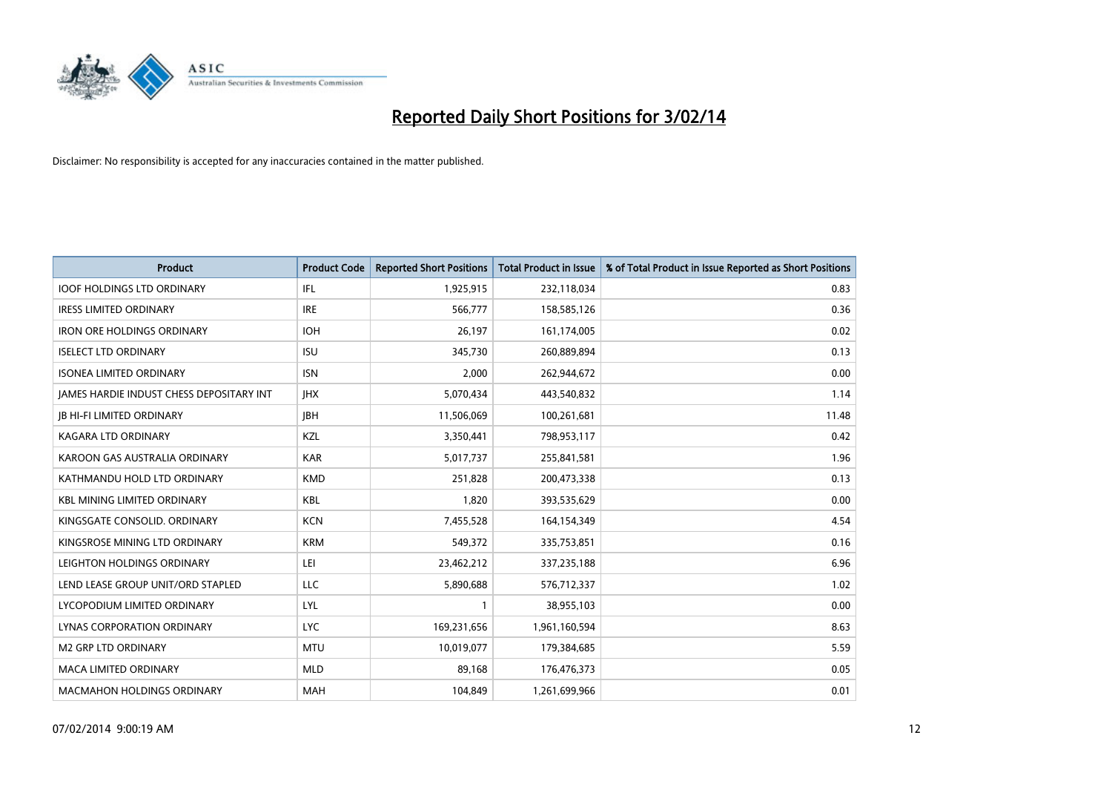

| <b>Product</b>                           | <b>Product Code</b> | <b>Reported Short Positions</b> | <b>Total Product in Issue</b> | % of Total Product in Issue Reported as Short Positions |
|------------------------------------------|---------------------|---------------------------------|-------------------------------|---------------------------------------------------------|
| <b>IOOF HOLDINGS LTD ORDINARY</b>        | IFL                 | 1,925,915                       | 232,118,034                   | 0.83                                                    |
| <b>IRESS LIMITED ORDINARY</b>            | <b>IRE</b>          | 566,777                         | 158,585,126                   | 0.36                                                    |
| <b>IRON ORE HOLDINGS ORDINARY</b>        | <b>IOH</b>          | 26,197                          | 161,174,005                   | 0.02                                                    |
| <b>ISELECT LTD ORDINARY</b>              | <b>ISU</b>          | 345,730                         | 260,889,894                   | 0.13                                                    |
| <b>ISONEA LIMITED ORDINARY</b>           | <b>ISN</b>          | 2,000                           | 262,944,672                   | 0.00                                                    |
| JAMES HARDIE INDUST CHESS DEPOSITARY INT | <b>IHX</b>          | 5,070,434                       | 443,540,832                   | 1.14                                                    |
| <b>JB HI-FI LIMITED ORDINARY</b>         | <b>JBH</b>          | 11,506,069                      | 100,261,681                   | 11.48                                                   |
| <b>KAGARA LTD ORDINARY</b>               | KZL                 | 3,350,441                       | 798,953,117                   | 0.42                                                    |
| KAROON GAS AUSTRALIA ORDINARY            | <b>KAR</b>          | 5,017,737                       | 255,841,581                   | 1.96                                                    |
| KATHMANDU HOLD LTD ORDINARY              | <b>KMD</b>          | 251,828                         | 200,473,338                   | 0.13                                                    |
| <b>KBL MINING LIMITED ORDINARY</b>       | <b>KBL</b>          | 1,820                           | 393,535,629                   | 0.00                                                    |
| KINGSGATE CONSOLID. ORDINARY             | <b>KCN</b>          | 7,455,528                       | 164,154,349                   | 4.54                                                    |
| KINGSROSE MINING LTD ORDINARY            | <b>KRM</b>          | 549,372                         | 335,753,851                   | 0.16                                                    |
| LEIGHTON HOLDINGS ORDINARY               | LEI                 | 23,462,212                      | 337,235,188                   | 6.96                                                    |
| LEND LEASE GROUP UNIT/ORD STAPLED        | <b>LLC</b>          | 5,890,688                       | 576,712,337                   | 1.02                                                    |
| LYCOPODIUM LIMITED ORDINARY              | <b>LYL</b>          |                                 | 38,955,103                    | 0.00                                                    |
| LYNAS CORPORATION ORDINARY               | <b>LYC</b>          | 169,231,656                     | 1,961,160,594                 | 8.63                                                    |
| <b>M2 GRP LTD ORDINARY</b>               | <b>MTU</b>          | 10,019,077                      | 179,384,685                   | 5.59                                                    |
| <b>MACA LIMITED ORDINARY</b>             | <b>MLD</b>          | 89,168                          | 176,476,373                   | 0.05                                                    |
| <b>MACMAHON HOLDINGS ORDINARY</b>        | <b>MAH</b>          | 104,849                         | 1,261,699,966                 | 0.01                                                    |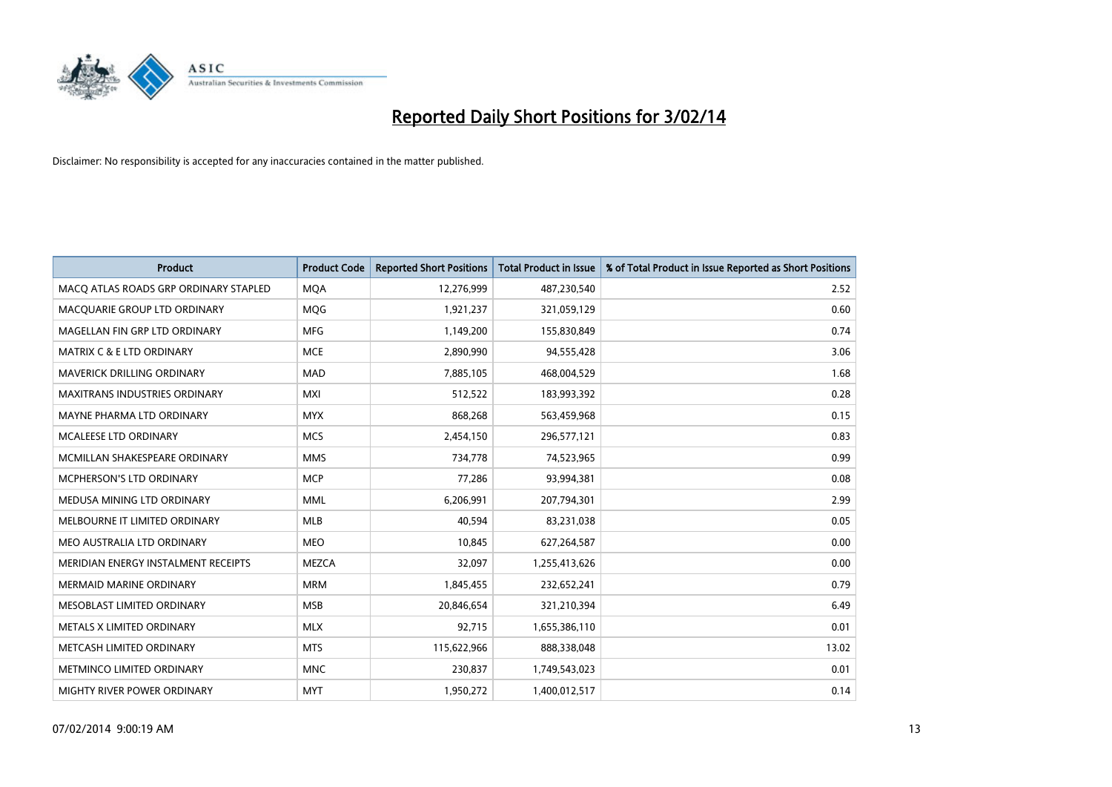

| <b>Product</b>                        | <b>Product Code</b> | <b>Reported Short Positions</b> | <b>Total Product in Issue</b> | % of Total Product in Issue Reported as Short Positions |
|---------------------------------------|---------------------|---------------------------------|-------------------------------|---------------------------------------------------------|
| MACO ATLAS ROADS GRP ORDINARY STAPLED | <b>MQA</b>          | 12,276,999                      | 487,230,540                   | 2.52                                                    |
| MACQUARIE GROUP LTD ORDINARY          | <b>MQG</b>          | 1,921,237                       | 321,059,129                   | 0.60                                                    |
| MAGELLAN FIN GRP LTD ORDINARY         | <b>MFG</b>          | 1,149,200                       | 155,830,849                   | 0.74                                                    |
| <b>MATRIX C &amp; E LTD ORDINARY</b>  | <b>MCE</b>          | 2,890,990                       | 94,555,428                    | 3.06                                                    |
| MAVERICK DRILLING ORDINARY            | <b>MAD</b>          | 7,885,105                       | 468,004,529                   | 1.68                                                    |
| <b>MAXITRANS INDUSTRIES ORDINARY</b>  | <b>MXI</b>          | 512,522                         | 183,993,392                   | 0.28                                                    |
| MAYNE PHARMA LTD ORDINARY             | <b>MYX</b>          | 868,268                         | 563,459,968                   | 0.15                                                    |
| MCALEESE LTD ORDINARY                 | <b>MCS</b>          | 2,454,150                       | 296,577,121                   | 0.83                                                    |
| MCMILLAN SHAKESPEARE ORDINARY         | <b>MMS</b>          | 734,778                         | 74,523,965                    | 0.99                                                    |
| <b>MCPHERSON'S LTD ORDINARY</b>       | <b>MCP</b>          | 77,286                          | 93,994,381                    | 0.08                                                    |
| MEDUSA MINING LTD ORDINARY            | <b>MML</b>          | 6,206,991                       | 207,794,301                   | 2.99                                                    |
| MELBOURNE IT LIMITED ORDINARY         | MLB                 | 40,594                          | 83,231,038                    | 0.05                                                    |
| MEO AUSTRALIA LTD ORDINARY            | <b>MEO</b>          | 10,845                          | 627,264,587                   | 0.00                                                    |
| MERIDIAN ENERGY INSTALMENT RECEIPTS   | <b>MEZCA</b>        | 32,097                          | 1,255,413,626                 | 0.00                                                    |
| <b>MERMAID MARINE ORDINARY</b>        | <b>MRM</b>          | 1,845,455                       | 232,652,241                   | 0.79                                                    |
| MESOBLAST LIMITED ORDINARY            | <b>MSB</b>          | 20,846,654                      | 321,210,394                   | 6.49                                                    |
| METALS X LIMITED ORDINARY             | <b>MLX</b>          | 92,715                          | 1,655,386,110                 | 0.01                                                    |
| METCASH LIMITED ORDINARY              | <b>MTS</b>          | 115,622,966                     | 888,338,048                   | 13.02                                                   |
| METMINCO LIMITED ORDINARY             | <b>MNC</b>          | 230,837                         | 1,749,543,023                 | 0.01                                                    |
| MIGHTY RIVER POWER ORDINARY           | <b>MYT</b>          | 1,950,272                       | 1,400,012,517                 | 0.14                                                    |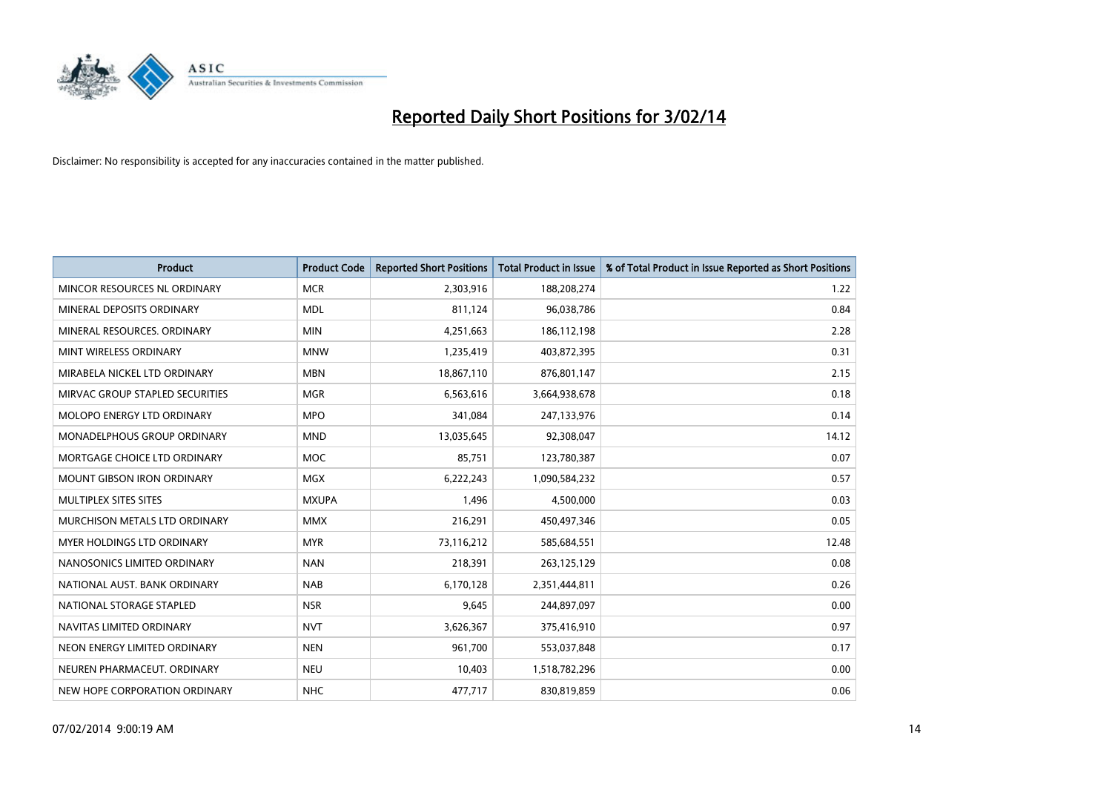

| <b>Product</b>                    | <b>Product Code</b> | <b>Reported Short Positions</b> | <b>Total Product in Issue</b> | % of Total Product in Issue Reported as Short Positions |
|-----------------------------------|---------------------|---------------------------------|-------------------------------|---------------------------------------------------------|
| MINCOR RESOURCES NL ORDINARY      | <b>MCR</b>          | 2,303,916                       | 188,208,274                   | 1.22                                                    |
| MINERAL DEPOSITS ORDINARY         | <b>MDL</b>          | 811,124                         | 96,038,786                    | 0.84                                                    |
| MINERAL RESOURCES, ORDINARY       | <b>MIN</b>          | 4,251,663                       | 186,112,198                   | 2.28                                                    |
| MINT WIRELESS ORDINARY            | <b>MNW</b>          | 1,235,419                       | 403,872,395                   | 0.31                                                    |
| MIRABELA NICKEL LTD ORDINARY      | <b>MBN</b>          | 18,867,110                      | 876,801,147                   | 2.15                                                    |
| MIRVAC GROUP STAPLED SECURITIES   | <b>MGR</b>          | 6,563,616                       | 3,664,938,678                 | 0.18                                                    |
| <b>MOLOPO ENERGY LTD ORDINARY</b> | <b>MPO</b>          | 341,084                         | 247,133,976                   | 0.14                                                    |
| MONADELPHOUS GROUP ORDINARY       | <b>MND</b>          | 13,035,645                      | 92,308,047                    | 14.12                                                   |
| MORTGAGE CHOICE LTD ORDINARY      | <b>MOC</b>          | 85,751                          | 123,780,387                   | 0.07                                                    |
| <b>MOUNT GIBSON IRON ORDINARY</b> | <b>MGX</b>          | 6,222,243                       | 1,090,584,232                 | 0.57                                                    |
| MULTIPLEX SITES SITES             | <b>MXUPA</b>        | 1,496                           | 4,500,000                     | 0.03                                                    |
| MURCHISON METALS LTD ORDINARY     | <b>MMX</b>          | 216,291                         | 450,497,346                   | 0.05                                                    |
| MYER HOLDINGS LTD ORDINARY        | <b>MYR</b>          | 73,116,212                      | 585,684,551                   | 12.48                                                   |
| NANOSONICS LIMITED ORDINARY       | <b>NAN</b>          | 218,391                         | 263,125,129                   | 0.08                                                    |
| NATIONAL AUST, BANK ORDINARY      | <b>NAB</b>          | 6,170,128                       | 2,351,444,811                 | 0.26                                                    |
| NATIONAL STORAGE STAPLED          | <b>NSR</b>          | 9,645                           | 244,897,097                   | 0.00                                                    |
| NAVITAS LIMITED ORDINARY          | <b>NVT</b>          | 3,626,367                       | 375,416,910                   | 0.97                                                    |
| NEON ENERGY LIMITED ORDINARY      | <b>NEN</b>          | 961,700                         | 553,037,848                   | 0.17                                                    |
| NEUREN PHARMACEUT, ORDINARY       | <b>NEU</b>          | 10,403                          | 1,518,782,296                 | 0.00                                                    |
| NEW HOPE CORPORATION ORDINARY     | <b>NHC</b>          | 477,717                         | 830,819,859                   | 0.06                                                    |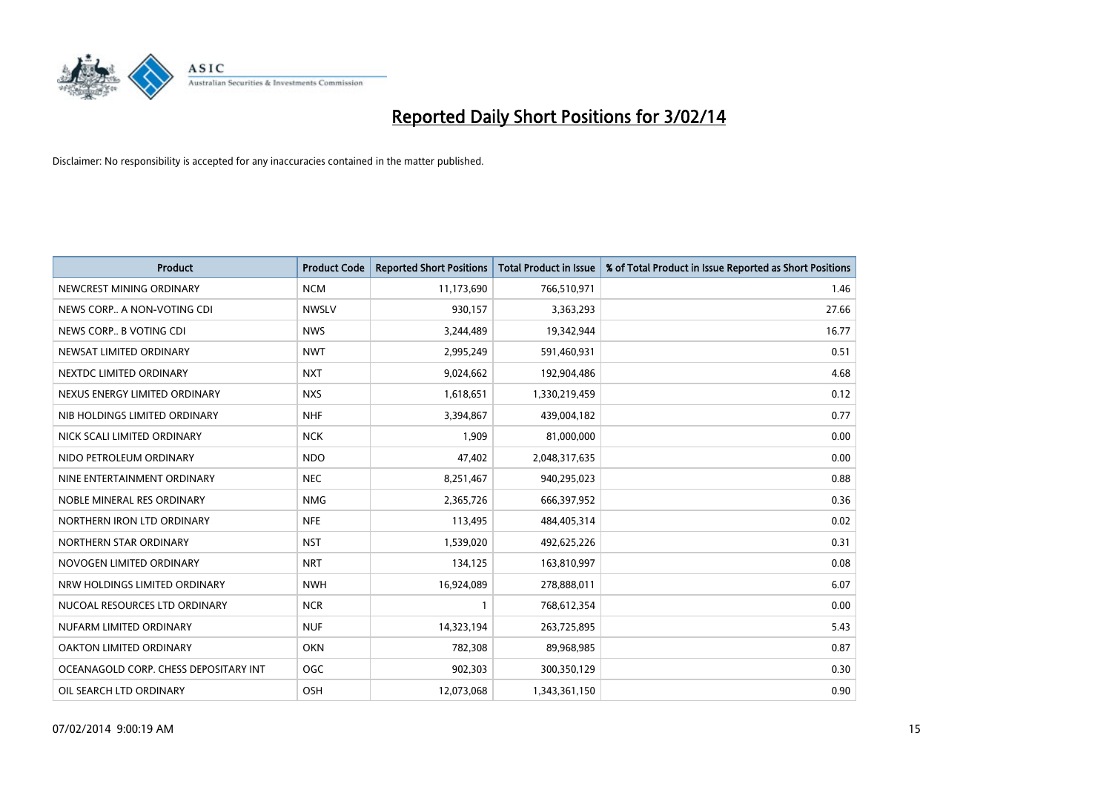

| <b>Product</b>                        | <b>Product Code</b> | <b>Reported Short Positions</b> | <b>Total Product in Issue</b> | % of Total Product in Issue Reported as Short Positions |
|---------------------------------------|---------------------|---------------------------------|-------------------------------|---------------------------------------------------------|
| NEWCREST MINING ORDINARY              | <b>NCM</b>          | 11,173,690                      | 766,510,971                   | 1.46                                                    |
| NEWS CORP A NON-VOTING CDI            | <b>NWSLV</b>        | 930,157                         | 3,363,293                     | 27.66                                                   |
| NEWS CORP B VOTING CDI                | <b>NWS</b>          | 3,244,489                       | 19,342,944                    | 16.77                                                   |
| NEWSAT LIMITED ORDINARY               | <b>NWT</b>          | 2,995,249                       | 591,460,931                   | 0.51                                                    |
| NEXTDC LIMITED ORDINARY               | <b>NXT</b>          | 9,024,662                       | 192,904,486                   | 4.68                                                    |
| NEXUS ENERGY LIMITED ORDINARY         | <b>NXS</b>          | 1,618,651                       | 1,330,219,459                 | 0.12                                                    |
| NIB HOLDINGS LIMITED ORDINARY         | <b>NHF</b>          | 3,394,867                       | 439,004,182                   | 0.77                                                    |
| NICK SCALI LIMITED ORDINARY           | <b>NCK</b>          | 1,909                           | 81,000,000                    | 0.00                                                    |
| NIDO PETROLEUM ORDINARY               | <b>NDO</b>          | 47,402                          | 2,048,317,635                 | 0.00                                                    |
| NINE ENTERTAINMENT ORDINARY           | <b>NEC</b>          | 8,251,467                       | 940,295,023                   | 0.88                                                    |
| NOBLE MINERAL RES ORDINARY            | <b>NMG</b>          | 2,365,726                       | 666,397,952                   | 0.36                                                    |
| NORTHERN IRON LTD ORDINARY            | <b>NFE</b>          | 113,495                         | 484,405,314                   | 0.02                                                    |
| NORTHERN STAR ORDINARY                | <b>NST</b>          | 1,539,020                       | 492,625,226                   | 0.31                                                    |
| NOVOGEN LIMITED ORDINARY              | <b>NRT</b>          | 134,125                         | 163,810,997                   | 0.08                                                    |
| NRW HOLDINGS LIMITED ORDINARY         | <b>NWH</b>          | 16,924,089                      | 278,888,011                   | 6.07                                                    |
| NUCOAL RESOURCES LTD ORDINARY         | <b>NCR</b>          |                                 | 768,612,354                   | 0.00                                                    |
| NUFARM LIMITED ORDINARY               | <b>NUF</b>          | 14,323,194                      | 263,725,895                   | 5.43                                                    |
| <b>OAKTON LIMITED ORDINARY</b>        | <b>OKN</b>          | 782,308                         | 89,968,985                    | 0.87                                                    |
| OCEANAGOLD CORP. CHESS DEPOSITARY INT | <b>OGC</b>          | 902,303                         | 300,350,129                   | 0.30                                                    |
| OIL SEARCH LTD ORDINARY               | OSH                 | 12,073,068                      | 1,343,361,150                 | 0.90                                                    |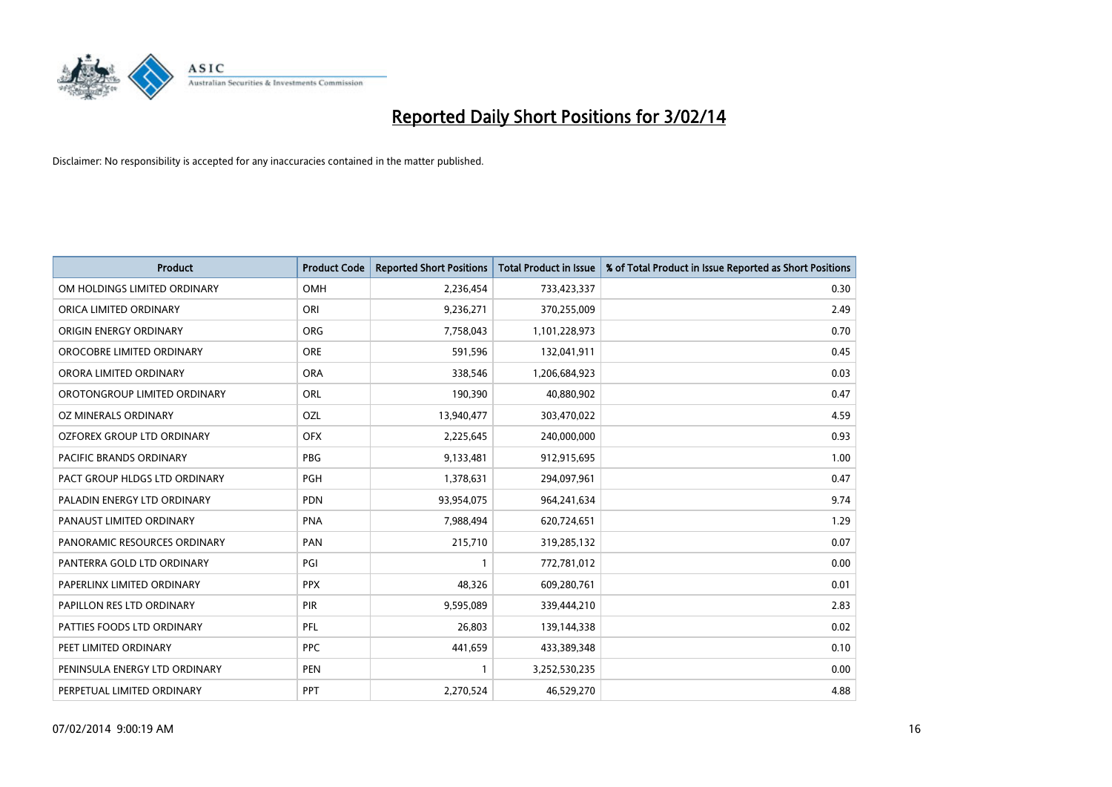

| <b>Product</b>                | <b>Product Code</b> | <b>Reported Short Positions</b> | <b>Total Product in Issue</b> | % of Total Product in Issue Reported as Short Positions |
|-------------------------------|---------------------|---------------------------------|-------------------------------|---------------------------------------------------------|
| OM HOLDINGS LIMITED ORDINARY  | <b>OMH</b>          | 2,236,454                       | 733,423,337                   | 0.30                                                    |
| ORICA LIMITED ORDINARY        | ORI                 | 9,236,271                       | 370,255,009                   | 2.49                                                    |
| ORIGIN ENERGY ORDINARY        | <b>ORG</b>          | 7,758,043                       | 1,101,228,973                 | 0.70                                                    |
| OROCOBRE LIMITED ORDINARY     | <b>ORE</b>          | 591,596                         | 132,041,911                   | 0.45                                                    |
| ORORA LIMITED ORDINARY        | <b>ORA</b>          | 338,546                         | 1,206,684,923                 | 0.03                                                    |
| OROTONGROUP LIMITED ORDINARY  | ORL                 | 190,390                         | 40,880,902                    | 0.47                                                    |
| OZ MINERALS ORDINARY          | <b>OZL</b>          | 13,940,477                      | 303,470,022                   | 4.59                                                    |
| OZFOREX GROUP LTD ORDINARY    | <b>OFX</b>          | 2,225,645                       | 240,000,000                   | 0.93                                                    |
| PACIFIC BRANDS ORDINARY       | <b>PBG</b>          | 9,133,481                       | 912,915,695                   | 1.00                                                    |
| PACT GROUP HLDGS LTD ORDINARY | PGH                 | 1,378,631                       | 294,097,961                   | 0.47                                                    |
| PALADIN ENERGY LTD ORDINARY   | <b>PDN</b>          | 93,954,075                      | 964,241,634                   | 9.74                                                    |
| PANAUST LIMITED ORDINARY      | <b>PNA</b>          | 7,988,494                       | 620,724,651                   | 1.29                                                    |
| PANORAMIC RESOURCES ORDINARY  | PAN                 | 215,710                         | 319,285,132                   | 0.07                                                    |
| PANTERRA GOLD LTD ORDINARY    | PGI                 | $\mathbf{1}$                    | 772,781,012                   | 0.00                                                    |
| PAPERLINX LIMITED ORDINARY    | <b>PPX</b>          | 48,326                          | 609,280,761                   | 0.01                                                    |
| PAPILLON RES LTD ORDINARY     | <b>PIR</b>          | 9,595,089                       | 339,444,210                   | 2.83                                                    |
| PATTIES FOODS LTD ORDINARY    | PFL                 | 26,803                          | 139,144,338                   | 0.02                                                    |
| PEET LIMITED ORDINARY         | <b>PPC</b>          | 441,659                         | 433,389,348                   | 0.10                                                    |
| PENINSULA ENERGY LTD ORDINARY | <b>PEN</b>          | $\mathbf{1}$                    | 3,252,530,235                 | 0.00                                                    |
| PERPETUAL LIMITED ORDINARY    | <b>PPT</b>          | 2,270,524                       | 46,529,270                    | 4.88                                                    |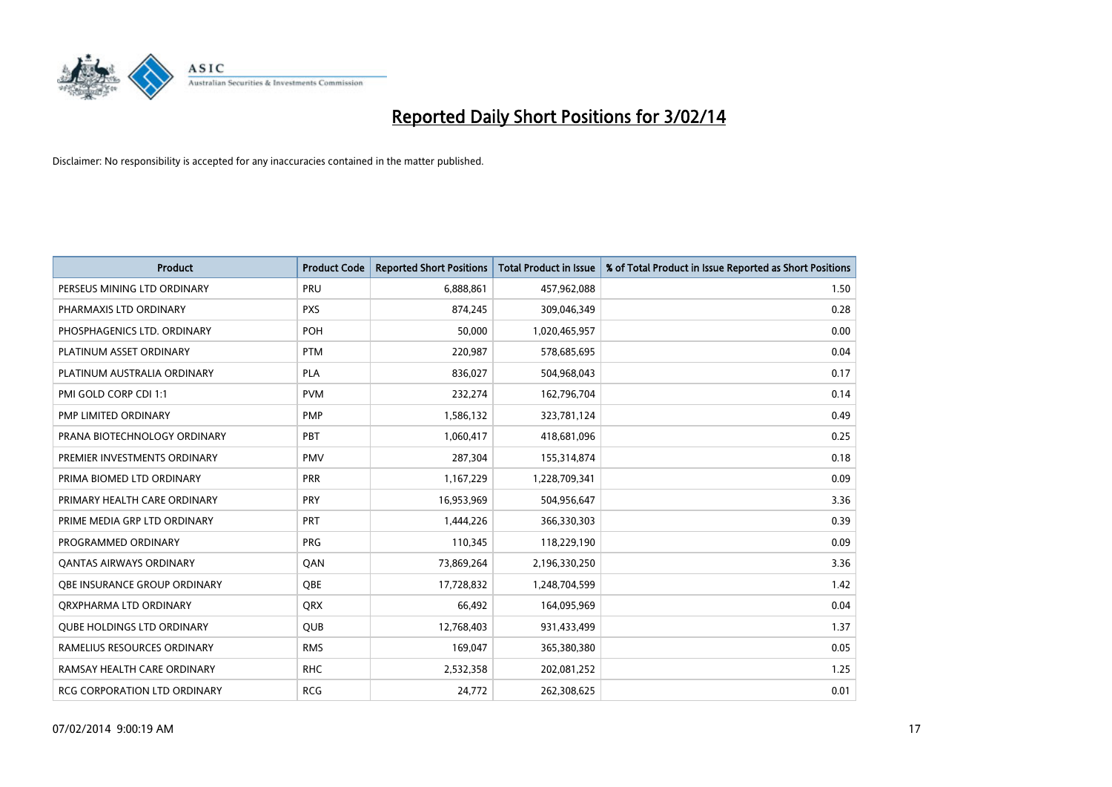

| <b>Product</b>                      | <b>Product Code</b> | <b>Reported Short Positions</b> | <b>Total Product in Issue</b> | % of Total Product in Issue Reported as Short Positions |
|-------------------------------------|---------------------|---------------------------------|-------------------------------|---------------------------------------------------------|
| PERSEUS MINING LTD ORDINARY         | PRU                 | 6,888,861                       | 457,962,088                   | 1.50                                                    |
| PHARMAXIS LTD ORDINARY              | <b>PXS</b>          | 874,245                         | 309,046,349                   | 0.28                                                    |
| PHOSPHAGENICS LTD. ORDINARY         | POH                 | 50,000                          | 1,020,465,957                 | 0.00                                                    |
| PLATINUM ASSET ORDINARY             | <b>PTM</b>          | 220,987                         | 578,685,695                   | 0.04                                                    |
| PLATINUM AUSTRALIA ORDINARY         | <b>PLA</b>          | 836,027                         | 504,968,043                   | 0.17                                                    |
| PMI GOLD CORP CDI 1:1               | <b>PVM</b>          | 232,274                         | 162,796,704                   | 0.14                                                    |
| PMP LIMITED ORDINARY                | <b>PMP</b>          | 1,586,132                       | 323,781,124                   | 0.49                                                    |
| PRANA BIOTECHNOLOGY ORDINARY        | <b>PBT</b>          | 1,060,417                       | 418,681,096                   | 0.25                                                    |
| PREMIER INVESTMENTS ORDINARY        | <b>PMV</b>          | 287,304                         | 155,314,874                   | 0.18                                                    |
| PRIMA BIOMED LTD ORDINARY           | <b>PRR</b>          | 1,167,229                       | 1,228,709,341                 | 0.09                                                    |
| PRIMARY HEALTH CARE ORDINARY        | <b>PRY</b>          | 16,953,969                      | 504,956,647                   | 3.36                                                    |
| PRIME MEDIA GRP LTD ORDINARY        | <b>PRT</b>          | 1,444,226                       | 366,330,303                   | 0.39                                                    |
| PROGRAMMED ORDINARY                 | <b>PRG</b>          | 110,345                         | 118,229,190                   | 0.09                                                    |
| <b>QANTAS AIRWAYS ORDINARY</b>      | QAN                 | 73,869,264                      | 2,196,330,250                 | 3.36                                                    |
| OBE INSURANCE GROUP ORDINARY        | <b>OBE</b>          | 17,728,832                      | 1,248,704,599                 | 1.42                                                    |
| ORXPHARMA LTD ORDINARY              | QRX                 | 66,492                          | 164,095,969                   | 0.04                                                    |
| <b>QUBE HOLDINGS LTD ORDINARY</b>   | QUB                 | 12,768,403                      | 931,433,499                   | 1.37                                                    |
| RAMELIUS RESOURCES ORDINARY         | <b>RMS</b>          | 169,047                         | 365,380,380                   | 0.05                                                    |
| RAMSAY HEALTH CARE ORDINARY         | <b>RHC</b>          | 2,532,358                       | 202,081,252                   | 1.25                                                    |
| <b>RCG CORPORATION LTD ORDINARY</b> | <b>RCG</b>          | 24,772                          | 262,308,625                   | 0.01                                                    |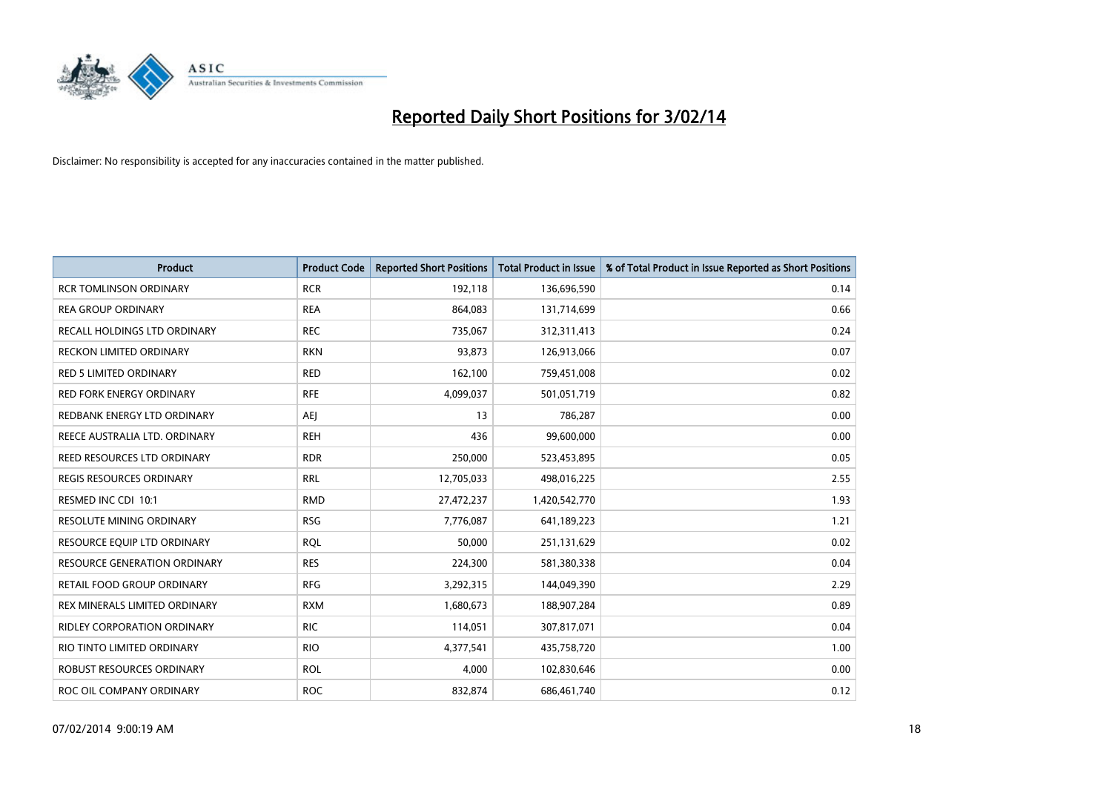

| Product                             | <b>Product Code</b> | <b>Reported Short Positions</b> | <b>Total Product in Issue</b> | % of Total Product in Issue Reported as Short Positions |
|-------------------------------------|---------------------|---------------------------------|-------------------------------|---------------------------------------------------------|
| <b>RCR TOMLINSON ORDINARY</b>       | <b>RCR</b>          | 192,118                         | 136,696,590                   | 0.14                                                    |
| <b>REA GROUP ORDINARY</b>           | <b>REA</b>          | 864,083                         | 131,714,699                   | 0.66                                                    |
| RECALL HOLDINGS LTD ORDINARY        | <b>REC</b>          | 735,067                         | 312,311,413                   | 0.24                                                    |
| <b>RECKON LIMITED ORDINARY</b>      | <b>RKN</b>          | 93,873                          | 126,913,066                   | 0.07                                                    |
| <b>RED 5 LIMITED ORDINARY</b>       | <b>RED</b>          | 162,100                         | 759,451,008                   | 0.02                                                    |
| <b>RED FORK ENERGY ORDINARY</b>     | <b>RFE</b>          | 4,099,037                       | 501,051,719                   | 0.82                                                    |
| REDBANK ENERGY LTD ORDINARY         | AEJ                 | 13                              | 786,287                       | 0.00                                                    |
| REECE AUSTRALIA LTD. ORDINARY       | <b>REH</b>          | 436                             | 99,600,000                    | 0.00                                                    |
| REED RESOURCES LTD ORDINARY         | <b>RDR</b>          | 250,000                         | 523,453,895                   | 0.05                                                    |
| <b>REGIS RESOURCES ORDINARY</b>     | <b>RRL</b>          | 12,705,033                      | 498,016,225                   | 2.55                                                    |
| RESMED INC CDI 10:1                 | <b>RMD</b>          | 27,472,237                      | 1,420,542,770                 | 1.93                                                    |
| RESOLUTE MINING ORDINARY            | <b>RSG</b>          | 7,776,087                       | 641,189,223                   | 1.21                                                    |
| RESOURCE EQUIP LTD ORDINARY         | <b>RQL</b>          | 50,000                          | 251,131,629                   | 0.02                                                    |
| <b>RESOURCE GENERATION ORDINARY</b> | <b>RES</b>          | 224,300                         | 581,380,338                   | 0.04                                                    |
| RETAIL FOOD GROUP ORDINARY          | <b>RFG</b>          | 3,292,315                       | 144,049,390                   | 2.29                                                    |
| REX MINERALS LIMITED ORDINARY       | <b>RXM</b>          | 1,680,673                       | 188,907,284                   | 0.89                                                    |
| RIDLEY CORPORATION ORDINARY         | <b>RIC</b>          | 114,051                         | 307,817,071                   | 0.04                                                    |
| RIO TINTO LIMITED ORDINARY          | <b>RIO</b>          | 4,377,541                       | 435,758,720                   | 1.00                                                    |
| ROBUST RESOURCES ORDINARY           | ROL                 | 4,000                           | 102,830,646                   | 0.00                                                    |
| ROC OIL COMPANY ORDINARY            | <b>ROC</b>          | 832,874                         | 686,461,740                   | 0.12                                                    |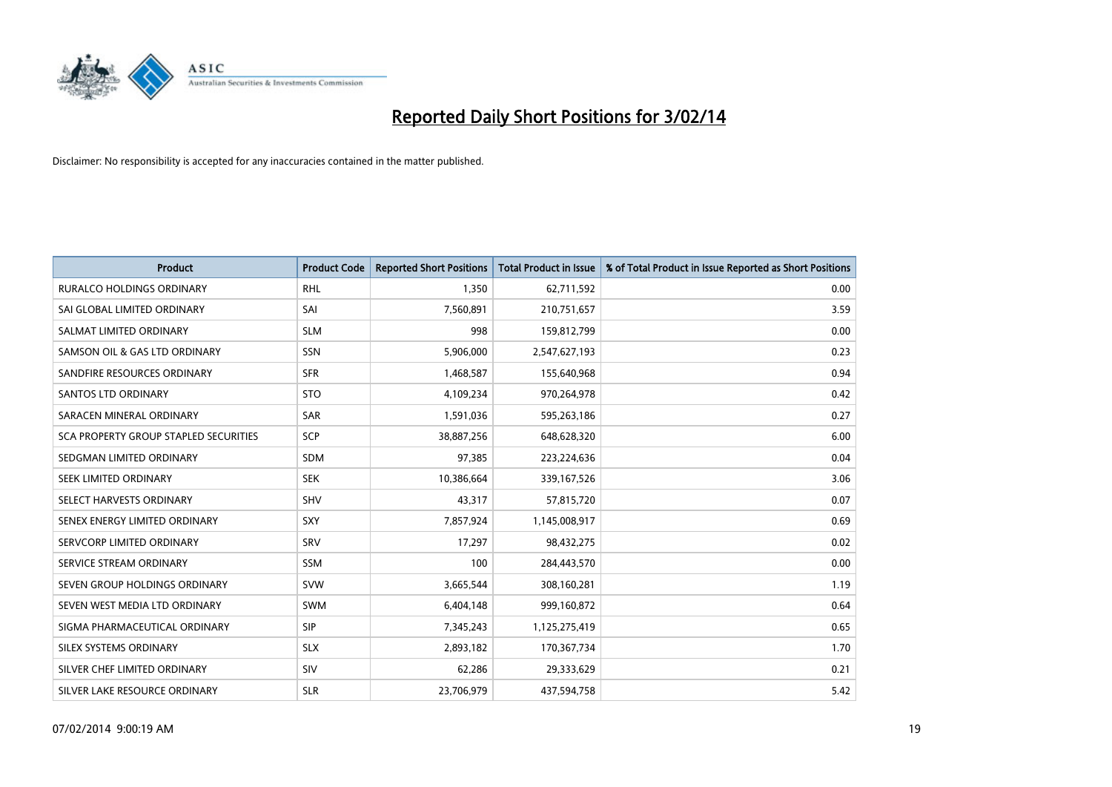

| <b>Product</b>                        | <b>Product Code</b> | <b>Reported Short Positions</b> | <b>Total Product in Issue</b> | % of Total Product in Issue Reported as Short Positions |
|---------------------------------------|---------------------|---------------------------------|-------------------------------|---------------------------------------------------------|
| <b>RURALCO HOLDINGS ORDINARY</b>      | <b>RHL</b>          | 1,350                           | 62,711,592                    | 0.00                                                    |
| SAI GLOBAL LIMITED ORDINARY           | SAI                 | 7,560,891                       | 210,751,657                   | 3.59                                                    |
| SALMAT LIMITED ORDINARY               | <b>SLM</b>          | 998                             | 159,812,799                   | 0.00                                                    |
| SAMSON OIL & GAS LTD ORDINARY         | SSN                 | 5,906,000                       | 2,547,627,193                 | 0.23                                                    |
| SANDFIRE RESOURCES ORDINARY           | <b>SFR</b>          | 1,468,587                       | 155,640,968                   | 0.94                                                    |
| SANTOS LTD ORDINARY                   | <b>STO</b>          | 4,109,234                       | 970,264,978                   | 0.42                                                    |
| SARACEN MINERAL ORDINARY              | <b>SAR</b>          | 1,591,036                       | 595,263,186                   | 0.27                                                    |
| SCA PROPERTY GROUP STAPLED SECURITIES | <b>SCP</b>          | 38,887,256                      | 648,628,320                   | 6.00                                                    |
| SEDGMAN LIMITED ORDINARY              | <b>SDM</b>          | 97,385                          | 223,224,636                   | 0.04                                                    |
| SEEK LIMITED ORDINARY                 | <b>SEK</b>          | 10,386,664                      | 339,167,526                   | 3.06                                                    |
| SELECT HARVESTS ORDINARY              | SHV                 | 43,317                          | 57,815,720                    | 0.07                                                    |
| SENEX ENERGY LIMITED ORDINARY         | <b>SXY</b>          | 7,857,924                       | 1,145,008,917                 | 0.69                                                    |
| SERVCORP LIMITED ORDINARY             | SRV                 | 17,297                          | 98,432,275                    | 0.02                                                    |
| SERVICE STREAM ORDINARY               | SSM                 | 100                             | 284,443,570                   | 0.00                                                    |
| SEVEN GROUP HOLDINGS ORDINARY         | <b>SVW</b>          | 3,665,544                       | 308,160,281                   | 1.19                                                    |
| SEVEN WEST MEDIA LTD ORDINARY         | SWM                 | 6,404,148                       | 999,160,872                   | 0.64                                                    |
| SIGMA PHARMACEUTICAL ORDINARY         | <b>SIP</b>          | 7,345,243                       | 1,125,275,419                 | 0.65                                                    |
| SILEX SYSTEMS ORDINARY                | <b>SLX</b>          | 2,893,182                       | 170,367,734                   | 1.70                                                    |
| SILVER CHEF LIMITED ORDINARY          | SIV                 | 62,286                          | 29,333,629                    | 0.21                                                    |
| SILVER LAKE RESOURCE ORDINARY         | <b>SLR</b>          | 23,706,979                      | 437,594,758                   | 5.42                                                    |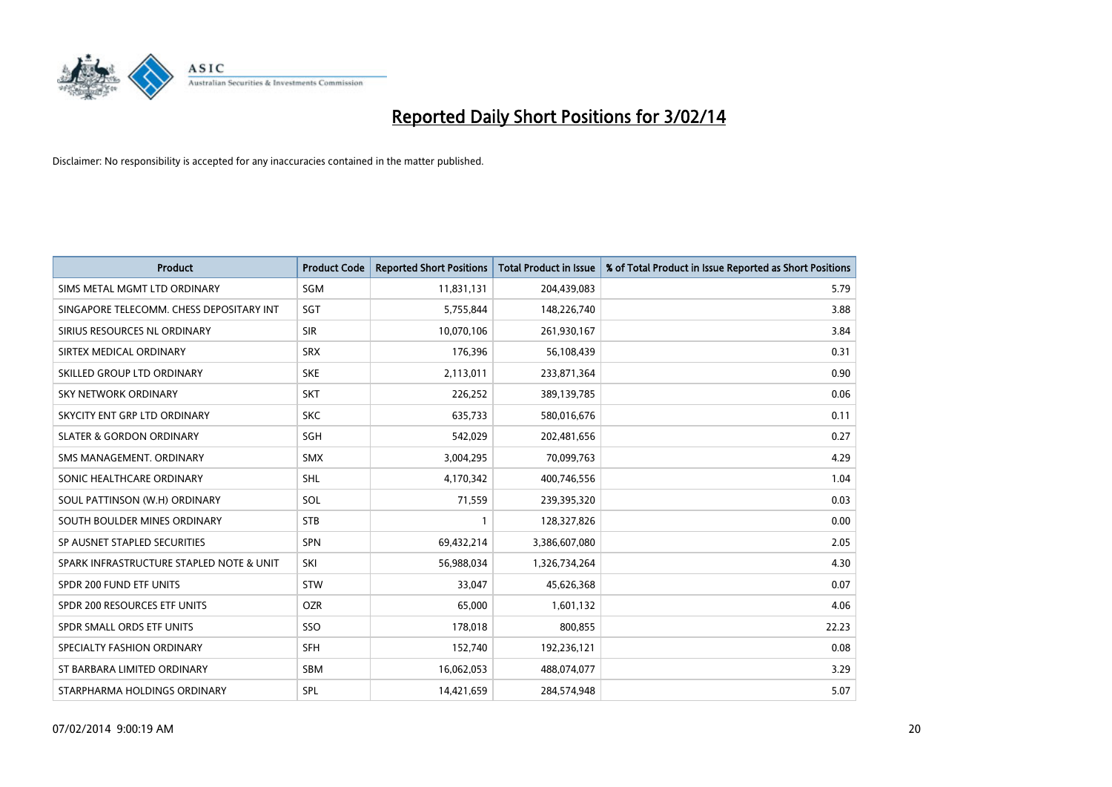

| <b>Product</b>                           | <b>Product Code</b> | <b>Reported Short Positions</b> | <b>Total Product in Issue</b> | % of Total Product in Issue Reported as Short Positions |
|------------------------------------------|---------------------|---------------------------------|-------------------------------|---------------------------------------------------------|
| SIMS METAL MGMT LTD ORDINARY             | SGM                 | 11,831,131                      | 204,439,083                   | 5.79                                                    |
| SINGAPORE TELECOMM. CHESS DEPOSITARY INT | SGT                 | 5,755,844                       | 148,226,740                   | 3.88                                                    |
| SIRIUS RESOURCES NL ORDINARY             | <b>SIR</b>          | 10,070,106                      | 261,930,167                   | 3.84                                                    |
| SIRTEX MEDICAL ORDINARY                  | <b>SRX</b>          | 176,396                         | 56,108,439                    | 0.31                                                    |
| SKILLED GROUP LTD ORDINARY               | <b>SKE</b>          | 2,113,011                       | 233,871,364                   | 0.90                                                    |
| SKY NETWORK ORDINARY                     | <b>SKT</b>          | 226,252                         | 389,139,785                   | 0.06                                                    |
| SKYCITY ENT GRP LTD ORDINARY             | <b>SKC</b>          | 635,733                         | 580,016,676                   | 0.11                                                    |
| <b>SLATER &amp; GORDON ORDINARY</b>      | SGH                 | 542,029                         | 202,481,656                   | 0.27                                                    |
| SMS MANAGEMENT. ORDINARY                 | <b>SMX</b>          | 3,004,295                       | 70,099,763                    | 4.29                                                    |
| SONIC HEALTHCARE ORDINARY                | <b>SHL</b>          | 4,170,342                       | 400,746,556                   | 1.04                                                    |
| SOUL PATTINSON (W.H) ORDINARY            | SOL                 | 71,559                          | 239,395,320                   | 0.03                                                    |
| SOUTH BOULDER MINES ORDINARY             | <b>STB</b>          | $\mathbf{1}$                    | 128,327,826                   | 0.00                                                    |
| SP AUSNET STAPLED SECURITIES             | SPN                 | 69,432,214                      | 3,386,607,080                 | 2.05                                                    |
| SPARK INFRASTRUCTURE STAPLED NOTE & UNIT | SKI                 | 56,988,034                      | 1,326,734,264                 | 4.30                                                    |
| SPDR 200 FUND ETF UNITS                  | <b>STW</b>          | 33,047                          | 45,626,368                    | 0.07                                                    |
| SPDR 200 RESOURCES ETF UNITS             | <b>OZR</b>          | 65,000                          | 1,601,132                     | 4.06                                                    |
| SPDR SMALL ORDS ETF UNITS                | SSO                 | 178,018                         | 800,855                       | 22.23                                                   |
| SPECIALTY FASHION ORDINARY               | <b>SFH</b>          | 152,740                         | 192,236,121                   | 0.08                                                    |
| ST BARBARA LIMITED ORDINARY              | <b>SBM</b>          | 16,062,053                      | 488,074,077                   | 3.29                                                    |
| STARPHARMA HOLDINGS ORDINARY             | SPL                 | 14,421,659                      | 284,574,948                   | 5.07                                                    |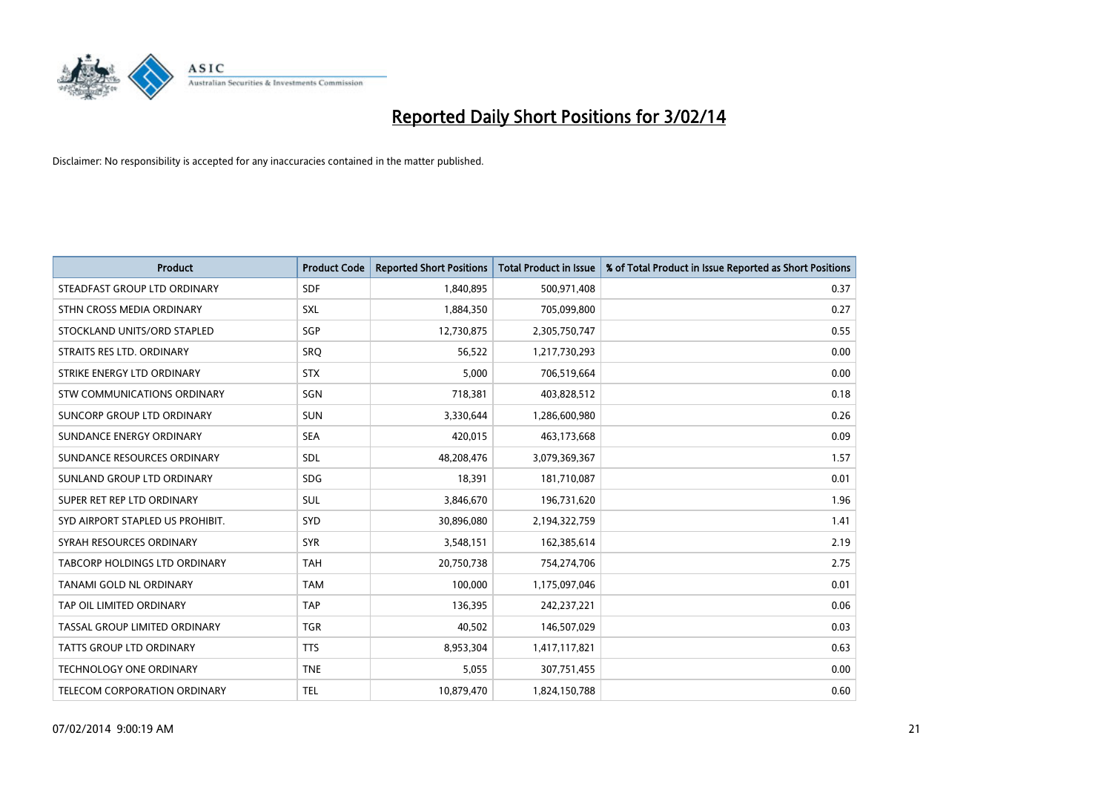

| <b>Product</b>                       | <b>Product Code</b> | <b>Reported Short Positions</b> | <b>Total Product in Issue</b> | % of Total Product in Issue Reported as Short Positions |
|--------------------------------------|---------------------|---------------------------------|-------------------------------|---------------------------------------------------------|
| STEADFAST GROUP LTD ORDINARY         | <b>SDF</b>          | 1,840,895                       | 500,971,408                   | 0.37                                                    |
| STHN CROSS MEDIA ORDINARY            | <b>SXL</b>          | 1,884,350                       | 705,099,800                   | 0.27                                                    |
| STOCKLAND UNITS/ORD STAPLED          | SGP                 | 12,730,875                      | 2,305,750,747                 | 0.55                                                    |
| STRAITS RES LTD. ORDINARY            | <b>SRQ</b>          | 56,522                          | 1,217,730,293                 | 0.00                                                    |
| STRIKE ENERGY LTD ORDINARY           | <b>STX</b>          | 5,000                           | 706,519,664                   | 0.00                                                    |
| STW COMMUNICATIONS ORDINARY          | SGN                 | 718,381                         | 403,828,512                   | 0.18                                                    |
| SUNCORP GROUP LTD ORDINARY           | <b>SUN</b>          | 3,330,644                       | 1,286,600,980                 | 0.26                                                    |
| SUNDANCE ENERGY ORDINARY             | <b>SEA</b>          | 420,015                         | 463,173,668                   | 0.09                                                    |
| SUNDANCE RESOURCES ORDINARY          | SDL                 | 48,208,476                      | 3,079,369,367                 | 1.57                                                    |
| SUNLAND GROUP LTD ORDINARY           | <b>SDG</b>          | 18,391                          | 181,710,087                   | 0.01                                                    |
| SUPER RET REP LTD ORDINARY           | SUL                 | 3,846,670                       | 196,731,620                   | 1.96                                                    |
| SYD AIRPORT STAPLED US PROHIBIT.     | <b>SYD</b>          | 30,896,080                      | 2,194,322,759                 | 1.41                                                    |
| SYRAH RESOURCES ORDINARY             | <b>SYR</b>          | 3,548,151                       | 162,385,614                   | 2.19                                                    |
| <b>TABCORP HOLDINGS LTD ORDINARY</b> | <b>TAH</b>          | 20,750,738                      | 754,274,706                   | 2.75                                                    |
| TANAMI GOLD NL ORDINARY              | <b>TAM</b>          | 100,000                         | 1,175,097,046                 | 0.01                                                    |
| TAP OIL LIMITED ORDINARY             | <b>TAP</b>          | 136,395                         | 242,237,221                   | 0.06                                                    |
| TASSAL GROUP LIMITED ORDINARY        | <b>TGR</b>          | 40,502                          | 146,507,029                   | 0.03                                                    |
| <b>TATTS GROUP LTD ORDINARY</b>      | <b>TTS</b>          | 8,953,304                       | 1,417,117,821                 | 0.63                                                    |
| <b>TECHNOLOGY ONE ORDINARY</b>       | <b>TNE</b>          | 5,055                           | 307,751,455                   | 0.00                                                    |
| TELECOM CORPORATION ORDINARY         | <b>TEL</b>          | 10,879,470                      | 1,824,150,788                 | 0.60                                                    |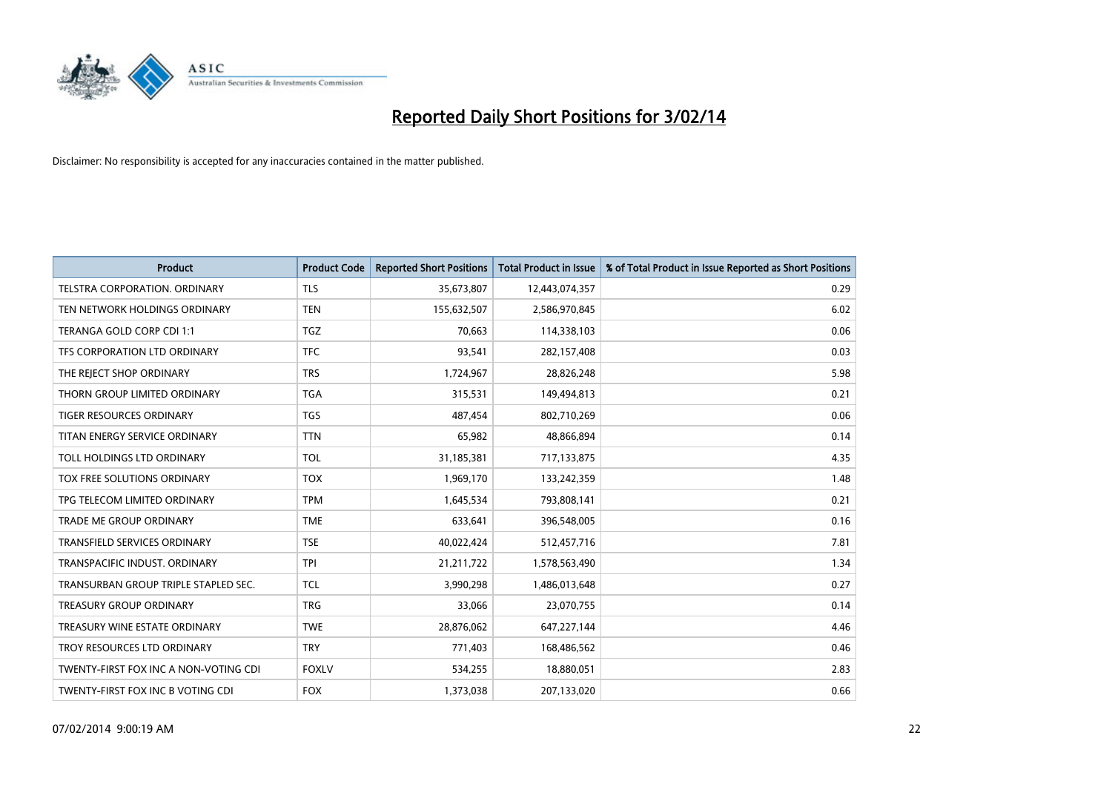

| <b>Product</b>                        | <b>Product Code</b> | <b>Reported Short Positions</b> | <b>Total Product in Issue</b> | % of Total Product in Issue Reported as Short Positions |
|---------------------------------------|---------------------|---------------------------------|-------------------------------|---------------------------------------------------------|
| TELSTRA CORPORATION, ORDINARY         | <b>TLS</b>          | 35,673,807                      | 12,443,074,357                | 0.29                                                    |
| TEN NETWORK HOLDINGS ORDINARY         | <b>TEN</b>          | 155,632,507                     | 2,586,970,845                 | 6.02                                                    |
| TERANGA GOLD CORP CDI 1:1             | <b>TGZ</b>          | 70,663                          | 114,338,103                   | 0.06                                                    |
| TFS CORPORATION LTD ORDINARY          | <b>TFC</b>          | 93,541                          | 282,157,408                   | 0.03                                                    |
| THE REJECT SHOP ORDINARY              | <b>TRS</b>          | 1,724,967                       | 28,826,248                    | 5.98                                                    |
| THORN GROUP LIMITED ORDINARY          | <b>TGA</b>          | 315,531                         | 149,494,813                   | 0.21                                                    |
| TIGER RESOURCES ORDINARY              | <b>TGS</b>          | 487,454                         | 802,710,269                   | 0.06                                                    |
| TITAN ENERGY SERVICE ORDINARY         | <b>TTN</b>          | 65,982                          | 48,866,894                    | 0.14                                                    |
| TOLL HOLDINGS LTD ORDINARY            | <b>TOL</b>          | 31,185,381                      | 717,133,875                   | 4.35                                                    |
| <b>TOX FREE SOLUTIONS ORDINARY</b>    | <b>TOX</b>          | 1,969,170                       | 133,242,359                   | 1.48                                                    |
| TPG TELECOM LIMITED ORDINARY          | <b>TPM</b>          | 1,645,534                       | 793,808,141                   | 0.21                                                    |
| <b>TRADE ME GROUP ORDINARY</b>        | <b>TME</b>          | 633,641                         | 396,548,005                   | 0.16                                                    |
| TRANSFIELD SERVICES ORDINARY          | <b>TSE</b>          | 40,022,424                      | 512,457,716                   | 7.81                                                    |
| TRANSPACIFIC INDUST, ORDINARY         | <b>TPI</b>          | 21,211,722                      | 1,578,563,490                 | 1.34                                                    |
| TRANSURBAN GROUP TRIPLE STAPLED SEC.  | <b>TCL</b>          | 3,990,298                       | 1,486,013,648                 | 0.27                                                    |
| TREASURY GROUP ORDINARY               | <b>TRG</b>          | 33,066                          | 23,070,755                    | 0.14                                                    |
| TREASURY WINE ESTATE ORDINARY         | <b>TWE</b>          | 28,876,062                      | 647,227,144                   | 4.46                                                    |
| TROY RESOURCES LTD ORDINARY           | <b>TRY</b>          | 771,403                         | 168,486,562                   | 0.46                                                    |
| TWENTY-FIRST FOX INC A NON-VOTING CDI | <b>FOXLV</b>        | 534,255                         | 18,880,051                    | 2.83                                                    |
| TWENTY-FIRST FOX INC B VOTING CDI     | <b>FOX</b>          | 1,373,038                       | 207,133,020                   | 0.66                                                    |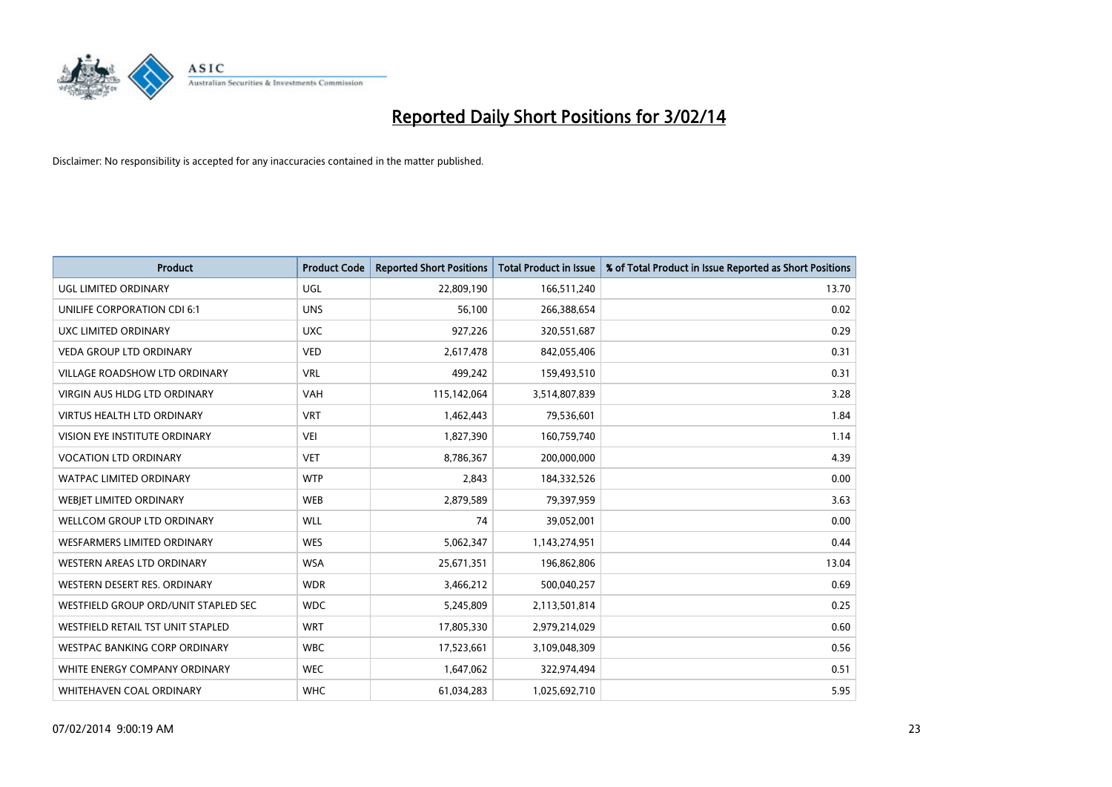

| <b>Product</b>                       | <b>Product Code</b> | <b>Reported Short Positions</b> | <b>Total Product in Issue</b> | % of Total Product in Issue Reported as Short Positions |
|--------------------------------------|---------------------|---------------------------------|-------------------------------|---------------------------------------------------------|
| <b>UGL LIMITED ORDINARY</b>          | UGL                 | 22,809,190                      | 166,511,240                   | 13.70                                                   |
| UNILIFE CORPORATION CDI 6:1          | <b>UNS</b>          | 56,100                          | 266,388,654                   | 0.02                                                    |
| UXC LIMITED ORDINARY                 | <b>UXC</b>          | 927,226                         | 320,551,687                   | 0.29                                                    |
| <b>VEDA GROUP LTD ORDINARY</b>       | <b>VED</b>          | 2,617,478                       | 842,055,406                   | 0.31                                                    |
| <b>VILLAGE ROADSHOW LTD ORDINARY</b> | <b>VRL</b>          | 499,242                         | 159,493,510                   | 0.31                                                    |
| <b>VIRGIN AUS HLDG LTD ORDINARY</b>  | VAH                 | 115,142,064                     | 3,514,807,839                 | 3.28                                                    |
| <b>VIRTUS HEALTH LTD ORDINARY</b>    | <b>VRT</b>          | 1,462,443                       | 79,536,601                    | 1.84                                                    |
| VISION EYE INSTITUTE ORDINARY        | <b>VEI</b>          | 1,827,390                       | 160,759,740                   | 1.14                                                    |
| <b>VOCATION LTD ORDINARY</b>         | <b>VET</b>          | 8,786,367                       | 200,000,000                   | 4.39                                                    |
| <b>WATPAC LIMITED ORDINARY</b>       | <b>WTP</b>          | 2,843                           | 184,332,526                   | 0.00                                                    |
| WEBJET LIMITED ORDINARY              | <b>WEB</b>          | 2,879,589                       | 79,397,959                    | 3.63                                                    |
| <b>WELLCOM GROUP LTD ORDINARY</b>    | WLL                 | 74                              | 39,052,001                    | 0.00                                                    |
| <b>WESFARMERS LIMITED ORDINARY</b>   | <b>WES</b>          | 5,062,347                       | 1,143,274,951                 | 0.44                                                    |
| <b>WESTERN AREAS LTD ORDINARY</b>    | <b>WSA</b>          | 25,671,351                      | 196,862,806                   | 13.04                                                   |
| WESTERN DESERT RES. ORDINARY         | <b>WDR</b>          | 3,466,212                       | 500,040,257                   | 0.69                                                    |
| WESTFIELD GROUP ORD/UNIT STAPLED SEC | <b>WDC</b>          | 5,245,809                       | 2,113,501,814                 | 0.25                                                    |
| WESTFIELD RETAIL TST UNIT STAPLED    | <b>WRT</b>          | 17,805,330                      | 2,979,214,029                 | 0.60                                                    |
| <b>WESTPAC BANKING CORP ORDINARY</b> | <b>WBC</b>          | 17,523,661                      | 3,109,048,309                 | 0.56                                                    |
| WHITE ENERGY COMPANY ORDINARY        | <b>WEC</b>          | 1,647,062                       | 322,974,494                   | 0.51                                                    |
| WHITEHAVEN COAL ORDINARY             | <b>WHC</b>          | 61,034,283                      | 1,025,692,710                 | 5.95                                                    |